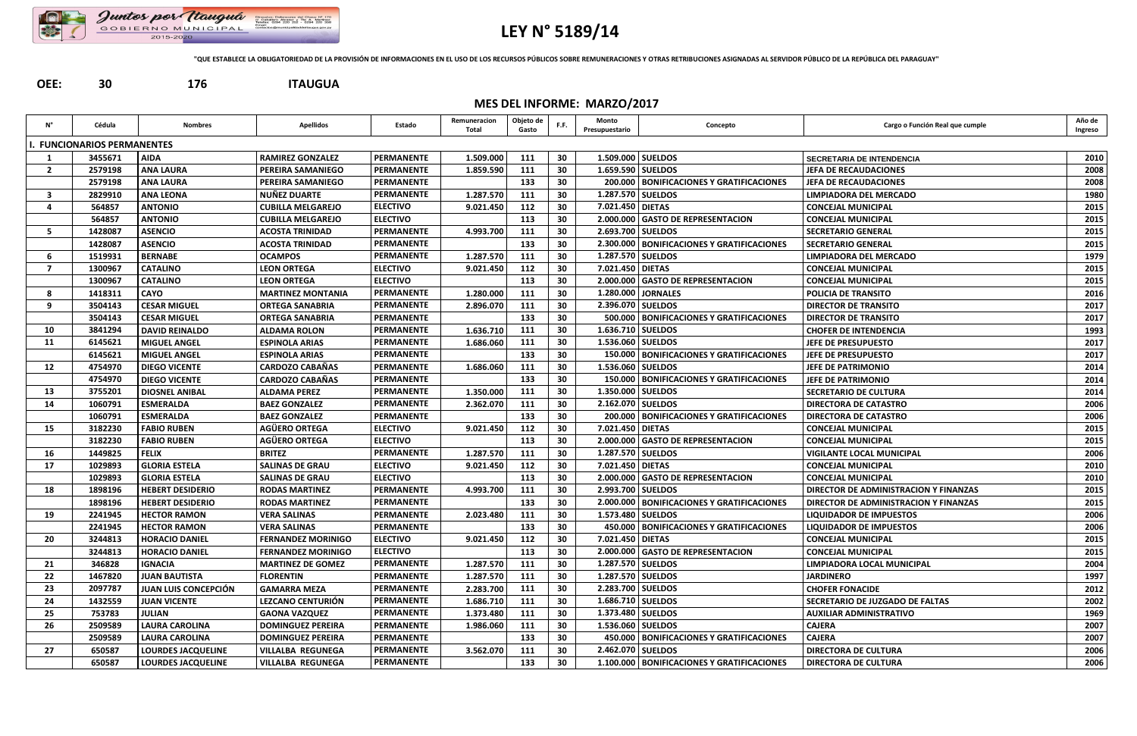

## **LEY N° 5189/14**

**"QUE ESTABLECE LA OBLIGATORIEDAD DE LA PROVISIÓN DE INFORMACIONES EN EL USO DE LOS RECURSOS PÚBLICOS SOBRE REMUNERACIONES Y OTRAS RETRIBUCIONES ASIGNADAS AL SERVIDOR PÚBLICO DE LA REPÚBLICA DEL PARAGUAY"**

**OEE: 30 176 ITAUGUA**

**MES DEL INFORME: MARZO/2017**

| Ν°             | Cédula                          | <b>Nombres</b>              | <b>Apellidos</b>          | Estado            | Remuneracion<br>Total | Objeto de<br>Gasto | F.F. | Monto<br>Presupuestario | Concepto                                          | Cargo o Función Real que cumple       | Año de<br>Ingreso |
|----------------|---------------------------------|-----------------------------|---------------------------|-------------------|-----------------------|--------------------|------|-------------------------|---------------------------------------------------|---------------------------------------|-------------------|
|                | <b>FUNCIONARIOS PERMANENTES</b> |                             |                           |                   |                       |                    |      |                         |                                                   |                                       |                   |
| 1              | 3455671                         | <b>AIDA</b>                 | <b>RAMIREZ GONZALEZ</b>   | <b>PERMANENTE</b> | 1.509.000             | 111                | 30   | 1.509.000 SUELDOS       |                                                   | <b>SECRETARIA DE INTENDENCIA</b>      | 2010              |
| $\overline{2}$ | 2579198                         | <b>ANA LAURA</b>            | <b>PEREIRA SAMANIEGO</b>  | <b>PERMANENTE</b> | 1.859.590             | 111                | 30   | 1.659.590 SUELDOS       |                                                   | <b>JEFA DE RECAUDACIONES</b>          | 2008              |
|                | 2579198                         | <b>ANA LAURA</b>            | <b>PEREIRA SAMANIEGO</b>  | <b>PERMANENTE</b> |                       | 133                | 30   |                         | 200.000   BONIFICACIONES Y GRATIFICACIONES        | <b>JEFA DE RECAUDACIONES</b>          | 2008              |
| 3              | 2829910                         | <b>ANA LEONA</b>            | <b>NUÑEZ DUARTE</b>       | <b>PERMANENTE</b> | 1.287.570             | 111                | 30   | 1.287.570   SUELDOS     |                                                   | LIMPIADORA DEL MERCADO                | 1980              |
|                | 564857                          | <b>ANTONIO</b>              | <b>CUBILLA MELGAREJO</b>  | <b>ELECTIVO</b>   | 9.021.450             | 112                | 30   | 7.021.450   DIETAS      |                                                   | <b>CONCEJAL MUNICIPAL</b>             | 2015              |
|                | 564857                          | <b>ANTONIO</b>              | <b>CUBILLA MELGAREJO</b>  | <b>ELECTIVO</b>   |                       | 113                | 30   |                         | 2.000.000 GASTO DE REPRESENTACION                 | <b>CONCEJAL MUNICIPAL</b>             | 2015              |
| -5             | 1428087                         | <b>ASENCIO</b>              | <b>ACOSTA TRINIDAD</b>    | <b>PERMANENTE</b> | 4.993.700             | 111                | 30   | 2.693.700 SUELDOS       |                                                   | <b>SECRETARIO GENERAL</b>             | 2015              |
|                | 1428087                         | <b>ASENCIO</b>              | <b>ACOSTA TRINIDAD</b>    | <b>PERMANENTE</b> |                       | 133                | 30   |                         | 2.300.000   BONIFICACIONES Y GRATIFICACIONES      | <b>SECRETARIO GENERAL</b>             | 2015              |
| 6              | 1519931                         | <b>BERNABE</b>              | <b>OCAMPOS</b>            | <b>PERMANENTE</b> | 1.287.570             | 111                | 30   | 1.287.570   SUELDOS     |                                                   | LIMPIADORA DEL MERCADO                | 1979              |
| $\overline{7}$ | 1300967                         | <b>CATALINO</b>             | <b>LEON ORTEGA</b>        | <b>ELECTIVO</b>   | 9.021.450             | 112                | 30   | 7.021.450 DIETAS        |                                                   | <b>CONCEJAL MUNICIPAL</b>             | 2015              |
|                | 1300967                         | <b>CATALINO</b>             | <b>LEON ORTEGA</b>        | <b>ELECTIVO</b>   |                       | 113                | 30   |                         | 2.000.000 GASTO DE REPRESENTACION                 | <b>CONCEJAL MUNICIPAL</b>             | 2015              |
| -8             | 1418311                         | <b>CAYO</b>                 | <b>MARTINEZ MONTANIA</b>  | <b>PERMANENTE</b> | 1.280.000             | 111                | 30   |                         | 1.280.000 JORNALES                                | POLICIA DE TRANSITO                   | 2016              |
| 9              | 3504143                         | <b>CESAR MIGUEL</b>         | <b>ORTEGA SANABRIA</b>    | <b>PERMANENTE</b> | 2.896.070             | 111                | 30   | 2.396.070 SUELDOS       |                                                   | <b>DIRECTOR DE TRANSITO</b>           | 2017              |
|                | 3504143                         | <b>CESAR MIGUEL</b>         | ORTEGA SANABRIA           | <b>PERMANENTE</b> |                       | 133                | 30   |                         | 500.000   BONIFICACIONES Y GRATIFICACIONES        | <b>DIRECTOR DE TRANSITO</b>           | 2017              |
| 10             | 3841294                         | <b>DAVID REINALDO</b>       | <b>ALDAMA ROLON</b>       | <b>PERMANENTE</b> | 1.636.710             | 111                | 30   | 1.636.710   SUELDOS     |                                                   | <b>CHOFER DE INTENDENCIA</b>          | 1993              |
| 11             | 6145621                         | <b>MIGUEL ANGEL</b>         | <b>ESPINOLA ARIAS</b>     | <b>PERMANENTE</b> | 1.686.060             | 111                | 30   | 1.536.060   SUELDOS     |                                                   | <b>JEFE DE PRESUPUESTO</b>            | 2017              |
|                | 6145621                         | <b>MIGUEL ANGEL</b>         | <b>ESPINOLA ARIAS</b>     | <b>PERMANENTE</b> |                       | 133                | 30   |                         | 150.000   BONIFICACIONES Y GRATIFICACIONES        | JEFE DE PRESUPUESTO                   | 2017              |
| 12             | 4754970                         | <b>DIEGO VICENTE</b>        | <b>CARDOZO CABAÑAS</b>    | <b>PERMANENTE</b> | 1.686.060             | 111                | 30   |                         | 1.536.060   SUELDOS                               | JEFE DE PATRIMONIO                    | 2014              |
|                | 4754970                         | <b>DIEGO VICENTE</b>        | <b>CARDOZO CABAÑAS</b>    | <b>PERMANENTE</b> |                       | 133                | 30   |                         | 150.000   BONIFICACIONES Y GRATIFICACIONES        | <b>JEFE DE PATRIMONIO</b>             | 2014              |
| 13             | 3755201                         | <b>DIOSNEL ANIBAL</b>       | <b>ALDAMA PEREZ</b>       | <b>PERMANENTE</b> | 1.350.000             | 111                | 30   | 1.350.000   SUELDOS     |                                                   | <b>SECRETARIO DE CULTURA</b>          | 2014              |
| 14             | 1060791                         | <b>ESMERALDA</b>            | <b>BAEZ GONZALEZ</b>      | <b>PERMANENTE</b> | 2.362.070             | 111                | 30   | 2.162.070   SUELDOS     |                                                   | <b>DIRECTORA DE CATASTRO</b>          | 2006              |
|                | 1060791                         | <b>ESMERALDA</b>            | <b>BAEZ GONZALEZ</b>      | <b>PERMANENTE</b> |                       | 133                | 30   |                         | <b>200.000   BONIFICACIONES Y GRATIFICACIONES</b> | <b>DIRECTORA DE CATASTRO</b>          | 2006              |
| 15             | 3182230                         | <b>FABIO RUBEN</b>          | <b>AGÜERO ORTEGA</b>      | <b>ELECTIVO</b>   | 9.021.450             | 112                | 30   | 7.021.450   DIETAS      |                                                   | <b>CONCEJAL MUNICIPAL</b>             | 2015              |
|                | 3182230                         | <b>FABIO RUBEN</b>          | <b>AGÜERO ORTEGA</b>      | <b>ELECTIVO</b>   |                       | 113                | 30   |                         | 2.000.000 GASTO DE REPRESENTACION                 | <b>CONCEJAL MUNICIPAL</b>             | 2015              |
| 16             | 1449825                         | <b>FELIX</b>                | <b>BRITEZ</b>             | <b>PERMANENTE</b> | 1.287.570             | 111                | 30   | 1.287.570   SUELDOS     |                                                   | <b>VIGILANTE LOCAL MUNICIPAL</b>      | 2006              |
| 17             | 1029893                         | <b>GLORIA ESTELA</b>        | <b>SALINAS DE GRAU</b>    | <b>ELECTIVO</b>   | 9.021.450             | 112                | 30   | 7.021.450   DIETAS      |                                                   | <b>CONCEJAL MUNICIPAL</b>             | 2010              |
|                | 1029893                         | <b>GLORIA ESTELA</b>        | <b>SALINAS DE GRAU</b>    | <b>ELECTIVO</b>   |                       | 113                | 30   |                         | 2.000.000 GASTO DE REPRESENTACION                 | <b>CONCEJAL MUNICIPAL</b>             | 2010              |
| 18             | 1898196                         | <b>HEBERT DESIDERIO</b>     | <b>RODAS MARTINEZ</b>     | <b>PERMANENTE</b> | 4.993.700             | 111                | 30   | 2.993.700 SUELDOS       |                                                   | DIRECTOR DE ADMINISTRACION Y FINANZAS | 2015              |
|                | 1898196                         | <b>HEBERT DESIDERIO</b>     | <b>RODAS MARTINEZ</b>     | <b>PERMANENTE</b> |                       | 133                | 30   |                         | 2.000.000   BONIFICACIONES Y GRATIFICACIONES      | DIRECTOR DE ADMINISTRACION Y FINANZAS | 2015              |
| 19             | 2241945                         | <b>HECTOR RAMON</b>         | <b>VERA SALINAS</b>       | <b>PERMANENTE</b> | 2.023.480             | 111                | 30   | 1.573.480   SUELDOS     |                                                   | <b>LIQUIDADOR DE IMPUESTOS</b>        | 2006              |
|                | 2241945                         | <b>HECTOR RAMON</b>         | <b>VERA SALINAS</b>       | <b>PERMANENTE</b> |                       | 133                | 30   |                         | 450.000   BONIFICACIONES Y GRATIFICACIONES        | <b>LIQUIDADOR DE IMPUESTOS</b>        | 2006              |
| 20             | 3244813                         | <b>HORACIO DANIEL</b>       | <b>FERNANDEZ MORINIGO</b> | <b>ELECTIVO</b>   | 9.021.450             | 112                | 30   | 7.021.450 DIETAS        |                                                   | <b>CONCEJAL MUNICIPAL</b>             | 2015              |
|                | 3244813                         | <b>HORACIO DANIEL</b>       | <b>FERNANDEZ MORINIGO</b> | <b>ELECTIVO</b>   |                       | 113                | 30   |                         | 2.000.000 GASTO DE REPRESENTACION                 | <b>CONCEJAL MUNICIPAL</b>             | 2015              |
| 21             | 346828                          | <b>IGNACIA</b>              | <b>MARTINEZ DE GOMEZ</b>  | <b>PERMANENTE</b> | 1.287.570             | 111                | 30   | 1.287.570 SUELDOS       |                                                   | LIMPIADORA LOCAL MUNICIPAL            | 2004              |
| 22             | 1467820                         | <b>JUAN BAUTISTA</b>        | <b>FLORENTIN</b>          | <b>PERMANENTE</b> | 1.287.570             | 111                | 30   | 1.287.570 SUELDOS       |                                                   | <b>JARDINERO</b>                      | 1997              |
| 23             | 2097787                         | <b>JUAN LUIS CONCEPCIÓN</b> | <b>GAMARRA MEZA</b>       | <b>PERMANENTE</b> | 2.283.700             | 111                | 30   | 2.283.700 SUELDOS       |                                                   | <b>CHOFER FONACIDE</b>                | 2012              |
| 24             | 1432559                         | <b>JUAN VICENTE</b>         | LEZCANO CENTURIÓN         | <b>PERMANENTE</b> | 1.686.710             | 111                | 30   | 1.686.710   SUELDOS     |                                                   | SECRETARIO DE JUZGADO DE FALTAS       | 2002              |
| 25             | 753783                          | <b>JULIAN</b>               | <b>GAONA VAZQUEZ</b>      | <b>PERMANENTE</b> | 1.373.480             | 111                | 30   | 1.373.480 SUELDOS       |                                                   | <b>AUXILIAR ADMINISTRATIVO</b>        | 1969              |
| 26             | 2509589                         | <b>LAURA CAROLINA</b>       | <b>DOMINGUEZ PEREIRA</b>  | <b>PERMANENTE</b> | 1.986.060             | 111                | 30   | 1.536.060 SUELDOS       |                                                   | <b>CAJERA</b>                         | 2007              |
|                | 2509589                         | <b>LAURA CAROLINA</b>       | <b>DOMINGUEZ PEREIRA</b>  | <b>PERMANENTE</b> |                       | 133                | 30   |                         | 450.000   BONIFICACIONES Y GRATIFICACIONES        | <b>CAJERA</b>                         | 2007              |
| 27             | 650587                          | <b>LOURDES JACQUELINE</b>   | <b>VILLALBA REGUNEGA</b>  | <b>PERMANENTE</b> | 3.562.070             | 111                | 30   | 2.462.070 SUELDOS       |                                                   | <b>DIRECTORA DE CULTURA</b>           | 2006              |
|                | 650587                          | <b>LOURDES JACQUELINE</b>   | <b>VILLALBA REGUNEGA</b>  | PERMANENTE        |                       | 133                | 30   |                         | 1.100.000   BONIFICACIONES Y GRATIFICACIONES      | <b>DIRECTORA DE CULTURA</b>           | 2006              |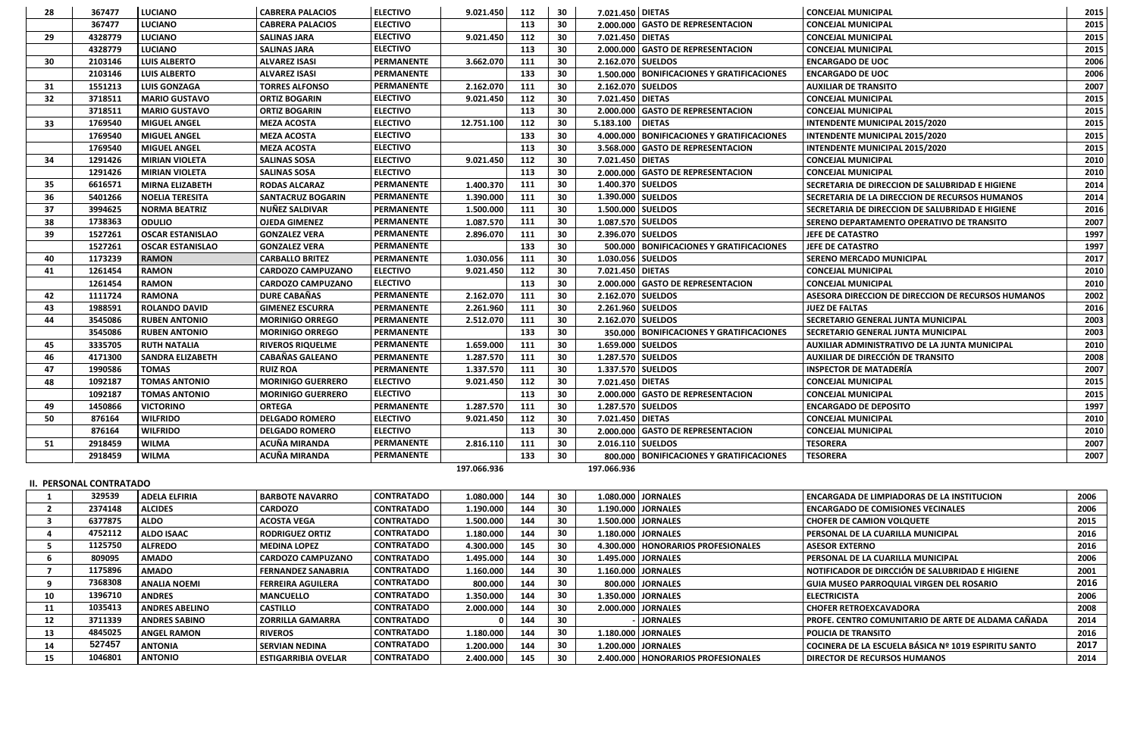| 28  | 367477                         | <b>LUCIANO</b>          | <b>CABRERA PALACIOS</b>  | <b>ELECTIVO</b>   | 9.021.450   | 112 | 30 | 7.021.450 DIETAS    |                                              | <b>CONCEJAL MUNICIPAL</b>                             | 2015 |
|-----|--------------------------------|-------------------------|--------------------------|-------------------|-------------|-----|----|---------------------|----------------------------------------------|-------------------------------------------------------|------|
|     | 367477                         | <b>LUCIANO</b>          | <b>CABRERA PALACIOS</b>  | <b>ELECTIVO</b>   |             | 113 | 30 |                     | 2.000.000 GASTO DE REPRESENTACION            | <b>CONCEJAL MUNICIPAL</b>                             | 2015 |
| 29  | 4328779                        | <b>LUCIANO</b>          | <b>SALINAS JARA</b>      | <b>ELECTIVO</b>   | 9.021.450   | 112 | 30 | 7.021.450 DIETAS    |                                              | <b>CONCEJAL MUNICIPAL</b>                             | 2015 |
|     | 4328779                        | <b>LUCIANO</b>          | <b>SALINAS JARA</b>      | <b>ELECTIVO</b>   |             | 113 | 30 |                     | 2.000.000 GASTO DE REPRESENTACION            | <b>CONCEJAL MUNICIPAL</b>                             | 2015 |
| 30  | 2103146                        | <b>LUIS ALBERTO</b>     | <b>ALVAREZ ISASI</b>     | <b>PERMANENTE</b> | 3.662.070   | 111 | 30 | 2.162.070 SUELDOS   |                                              | <b>ENCARGADO DE UOC</b>                               | 2006 |
|     | 2103146                        | <b>LUIS ALBERTO</b>     | <b>ALVAREZ ISASI</b>     | <b>PERMANENTE</b> |             | 133 | 30 |                     | 1.500.000   BONIFICACIONES Y GRATIFICACIONES | <b>ENCARGADO DE UOC</b>                               | 2006 |
| 31  | 1551213                        | <b>LUIS GONZAGA</b>     | <b>TORRES ALFONSO</b>    | <b>PERMANENTE</b> | 2.162.070   | 111 | 30 | 2.162.070 SUELDOS   |                                              | <b>AUXILIAR DE TRANSITO</b>                           | 2007 |
| 32  | 3718511                        | <b>MARIO GUSTAVO</b>    | <b>ORTIZ BOGARIN</b>     | <b>ELECTIVO</b>   | 9.021.450   | 112 | 30 | 7.021.450 DIETAS    |                                              | <b>CONCEJAL MUNICIPAL</b>                             | 2015 |
|     | 3718511                        | <b>MARIO GUSTAVO</b>    | <b>ORTIZ BOGARIN</b>     | <b>ELECTIVO</b>   |             | 113 | 30 | 2.000.000           | <b>GASTO DE REPRESENTACION</b>               | <b>CONCEJAL MUNICIPAL</b>                             | 2015 |
| 33  | 1769540                        | <b>MIGUEL ANGEL</b>     | <b>MEZA ACOSTA</b>       | <b>ELECTIVO</b>   | 12.751.100  | 112 | 30 | 5.183.100           | <b>DIETAS</b>                                | <b>INTENDENTE MUNICIPAL 2015/2020</b>                 | 2015 |
|     | 1769540                        | <b>MIGUEL ANGEL</b>     | <b>MEZA ACOSTA</b>       | <b>ELECTIVO</b>   |             | 133 | 30 |                     | 4.000.000   BONIFICACIONES Y GRATIFICACIONES | INTENDENTE MUNICIPAL 2015/2020                        | 2015 |
|     | 1769540                        | <b>MIGUEL ANGEL</b>     | <b>MEZA ACOSTA</b>       | <b>ELECTIVO</b>   |             | 113 | 30 |                     | 3.568.000 GASTO DE REPRESENTACION            | <b>INTENDENTE MUNICIPAL 2015/2020</b>                 | 2015 |
| -34 | 1291426                        | <b>MIRIAN VIOLETA</b>   | <b>SALINAS SOSA</b>      | <b>ELECTIVO</b>   | 9.021.450   | 112 | 30 | 7.021.450 DIETAS    |                                              | <b>CONCEJAL MUNICIPAL</b>                             | 2010 |
|     | 1291426                        | <b>MIRIAN VIOLETA</b>   | <b>SALINAS SOSA</b>      | <b>ELECTIVO</b>   |             | 113 | 30 |                     | 2.000.000 GASTO DE REPRESENTACION            | <b>CONCEJAL MUNICIPAL</b>                             | 2010 |
| 35  | 6616571                        | <b>MIRNA ELIZABETH</b>  | <b>RODAS ALCARAZ</b>     | <b>PERMANENTE</b> | 1.400.370   | 111 | 30 | 1.400.370   SUELDOS |                                              | SECRETARIA DE DIRECCION DE SALUBRIDAD E HIGIENE       | 2014 |
| 36  | 5401266                        | <b>NOELIA TERESITA</b>  | <b>SANTACRUZ BOGARIN</b> | <b>PERMANENTE</b> | 1.390.000   | 111 | 30 | 1.390.000   SUELDOS |                                              | <b>SECRETARIA DE LA DIRECCION DE RECURSOS HUMANOS</b> | 2014 |
| 37  | 3994625                        | <b>NORMA BEATRIZ</b>    | <b>NUÑEZ SALDIVAR</b>    | <b>PERMANENTE</b> | 1.500.000   | 111 | 30 | 1.500.000 SUELDOS   |                                              | SECRETARIA DE DIRECCION DE SALUBRIDAD E HIGIENE       | 2016 |
| 38  | 1738363                        | <b>ODULIO</b>           | <b>OJEDA GIMENEZ</b>     | <b>PERMANENTE</b> | 1.087.570   | 111 | 30 | 1.087.570 SUELDOS   |                                              | SERENO DEPARTAMENTO OPERATIVO DE TRANSITO             | 2007 |
| 39  | 1527261                        | <b>OSCAR ESTANISLAO</b> | <b>GONZALEZ VERA</b>     | <b>PERMANENTE</b> | 2.896.070   | 111 | 30 | 2.396.070 SUELDOS   |                                              | <b>JEFE DE CATASTRO</b>                               | 1997 |
|     | 1527261                        | <b>OSCAR ESTANISLAO</b> | <b>GONZALEZ VERA</b>     | <b>PERMANENTE</b> |             | 133 | 30 |                     | 500.000 BONIFICACIONES Y GRATIFICACIONES     | JEFE DE CATASTRO                                      | 1997 |
| 40  | 1173239                        | <b>RAMON</b>            | <b>CARBALLO BRITEZ</b>   | <b>PERMANENTE</b> | 1.030.056   | 111 | 30 | 1.030.056   SUELDOS |                                              | <b>SERENO MERCADO MUNICIPAL</b>                       | 2017 |
| 41  | 1261454                        | <b>RAMON</b>            | <b>CARDOZO CAMPUZANO</b> | <b>ELECTIVO</b>   | 9.021.450   | 112 | 30 | 7.021.450 DIETAS    |                                              | <b>CONCEJAL MUNICIPAL</b>                             | 2010 |
|     | 1261454                        | <b>RAMON</b>            | <b>CARDOZO CAMPUZANO</b> | <b>ELECTIVO</b>   |             | 113 | 30 |                     | 2.000.000 GASTO DE REPRESENTACION            | <b>CONCEJAL MUNICIPAL</b>                             | 2010 |
| 42  | 1111724                        | <b>RAMONA</b>           | <b>DURE CABAÑAS</b>      | <b>PERMANENTE</b> | 2.162.070   | 111 | 30 | 2.162.070 SUELDOS   |                                              | ASESORA DIRECCION DE DIRECCION DE RECURSOS HUMANOS    | 2002 |
| 43  | 1988591                        | <b>ROLANDO DAVID</b>    | <b>GIMENEZ ESCURRA</b>   | <b>PERMANENTE</b> | 2.261.960   | 111 | 30 | 2.261.960 SUELDOS   |                                              | <b>JUEZ DE FALTAS</b>                                 | 2016 |
| 44  | 3545086                        | <b>RUBEN ANTONIO</b>    | <b>MORINIGO ORREGO</b>   | <b>PERMANENTE</b> | 2.512.070   | 111 | 30 | 2.162.070 SUELDOS   |                                              | <b>SECRETARIO GENERAL JUNTA MUNICIPAL</b>             | 2003 |
|     | 3545086                        | <b>RUBEN ANTONIO</b>    | <b>MORINIGO ORREGO</b>   | <b>PERMANENTE</b> |             | 133 | 30 |                     | 350.000   BONIFICACIONES Y GRATIFICACIONES   | SECRETARIO GENERAL JUNTA MUNICIPAL                    | 2003 |
| 45  | 3335705                        | <b>RUTH NATALIA</b>     | <b>RIVEROS RIQUELME</b>  | <b>PERMANENTE</b> | 1.659.000   | 111 | 30 |                     | 1.659.000 SUELDOS                            | AUXILIAR ADMINISTRATIVO DE LA JUNTA MUNICIPAL         | 2010 |
| 46  | 4171300                        | <b>SANDRA ELIZABETH</b> | <b>CABAÑAS GALEANO</b>   | <b>PERMANENTE</b> | 1.287.570   | 111 | 30 | 1.287.570 SUELDOS   |                                              | AUXILIAR DE DIRECCIÓN DE TRANSITO                     | 2008 |
| 47  | 1990586                        | <b>TOMAS</b>            | <b>RUIZ ROA</b>          | <b>PERMANENTE</b> | 1.337.570   | 111 | 30 | 1.337.570 SUELDOS   |                                              | <b>INSPECTOR DE MATADERÍA</b>                         | 2007 |
| 48  | 1092187                        | <b>TOMAS ANTONIO</b>    | <b>MORINIGO GUERRERO</b> | <b>ELECTIVO</b>   | 9.021.450   | 112 | 30 | 7.021.450 DIETAS    |                                              | <b>CONCEJAL MUNICIPAL</b>                             | 2015 |
|     | 1092187                        | <b>TOMAS ANTONIO</b>    | <b>MORINIGO GUERRERO</b> | <b>ELECTIVO</b>   |             | 113 | 30 |                     | 2.000.000 GASTO DE REPRESENTACION            | <b>CONCEJAL MUNICIPAL</b>                             | 2015 |
| 49  | 1450866                        | <b>VICTORINO</b>        | <b>ORTEGA</b>            | <b>PERMANENTE</b> | 1.287.570   | 111 | 30 | 1.287.570 SUELDOS   |                                              | <b>ENCARGADO DE DEPOSITO</b>                          | 1997 |
| 50  | 876164                         | <b>WILFRIDO</b>         | <b>DELGADO ROMERO</b>    | <b>ELECTIVO</b>   | 9.021.450   | 112 | 30 | 7.021.450 DIETAS    |                                              | <b>CONCEJAL MUNICIPAL</b>                             | 2010 |
|     | 876164                         | <b>WILFRIDO</b>         | <b>DELGADO ROMERO</b>    | <b>ELECTIVO</b>   |             | 113 | 30 |                     | 2.000.000 GASTO DE REPRESENTACION            | <b>CONCEJAL MUNICIPAL</b>                             | 2010 |
| 51  | 2918459                        | <b>WILMA</b>            | <b>ACUÑA MIRANDA</b>     | <b>PERMANENTE</b> | 2.816.110   | 111 | 30 | 2.016.110 SUELDOS   |                                              | <b>TESORERA</b>                                       | 2007 |
|     | 2918459                        | <b>WILMA</b>            | <b>ACUÑA MIRANDA</b>     | <b>PERMANENTE</b> |             | 133 | 30 |                     | 800.000   BONIFICACIONES Y GRATIFICACIONES   | <b>TESORERA</b>                                       | 2007 |
|     |                                |                         |                          |                   | 197.066.936 |     |    | 197.066.936         |                                              |                                                       |      |
|     | <b>II. PERSONAL CONTRATADO</b> |                         |                          |                   |             |     |    |                     |                                              |                                                       |      |
|     |                                |                         |                          |                   |             |     |    |                     |                                              |                                                       |      |

| 329539  | <b>ADELA ELFIRIA</b>  | <b>BARBOTE NAVARRO</b>    | <b>CONTRATADO</b> | 1.080.000 | 144 | 30 | 1.080.000 JORNALES                   | l ENCARGADA DE LIMPIADORAS DE LA INSTITUCION         | 2006 |
|---------|-----------------------|---------------------------|-------------------|-----------|-----|----|--------------------------------------|------------------------------------------------------|------|
| 2374148 | <b>ALCIDES</b>        | <b>CARDOZO</b>            | <b>CONTRATADO</b> | 1.190.000 | 144 | 30 | 1.190.000   JORNALES                 | <b>I ENCARGADO DE COMISIONES VECINALES</b>           | 2006 |
| 6377875 | <b>ALDO</b>           | <b>ACOSTA VEGA</b>        | <b>CONTRATADO</b> | 1.500.000 | 144 | 30 | 1.500.000   JORNALES                 | <b>CHOFER DE CAMION VOLQUETE</b>                     | 2015 |
| 4752112 | <b>ALDO ISAAC</b>     | l RODRIGUEZ ORTIZ         | <b>CONTRATADO</b> | 1.180.000 | 144 | 30 | 1.180.000   JORNALES                 | l PERSONAL DE LA CUARILLA MUNICIPAL                  | 2016 |
| 1125750 | <b>ALFREDO</b>        | <b>MEDINA LOPEZ</b>       | <b>CONTRATADO</b> | 4.300.000 | 145 | 30 | 4.300.000   HONORARIOS PROFESIONALES | l ASESOR EXTERNO                                     | 2016 |
| 809095  | <b>AMADO</b>          | l CARDOZO CAMPUZANO       | <b>CONTRATADO</b> | 1.495.000 | 144 | 30 | 1.495.000   JORNALES                 | l PERSONAL DE LA CUARILLA MUNICIPAL                  | 2006 |
| 1175896 | <b>AMADO</b>          | <b>FERNANDEZ SANABRIA</b> | <b>CONTRATADO</b> | 1.160.000 | 144 | 30 | 1.160.000 JORNALES                   | I NOTIFICADOR DE DIRCCIÓN DE SALUBRIDAD E HIGIENE    | 2001 |
| 7368308 | <b>LANALIA NOEMI</b>  | l FERREIRA AGUILERA       | <b>CONTRATADO</b> | 800.000   | 144 | 30 | 800.000 JORNALES                     | l GUIA MUSEO PARROQUIAL VIRGEN DEL ROSARIO           | 2016 |
| 1396710 | <b>ANDRES</b>         | <b>MANCUELLO</b>          | <b>CONTRATADO</b> | 1.350.000 | 144 | 30 | 1.350.000   JORNALES                 | <b>ELECTRICISTA</b>                                  | 2006 |
| 1035413 | <b>ANDRES ABELINO</b> | <b>CASTILLO</b>           | <b>CONTRATADO</b> | 2.000.000 | 144 | 30 | 2.000.000   JORNALES                 | <b>CHOFER RETROEXCAVADORA</b>                        | 2008 |
| 3711339 | <b>LANDRES SABINO</b> | <b>ZORRILLA GAMARRA</b>   | <b>CONTRATADO</b> |           | 144 | 30 | <b>JORNALES</b>                      | l PROFE. CENTRO COMUNITARIO DE ARTE DE ALDAMA CAÑADA | 2014 |
| 4845025 | <b>LANGEL RAMON</b>   | <b>RIVEROS</b>            | <b>CONTRATADO</b> | 1.180.000 | 144 | 30 | 1.180.000 JORNALES                   | I POLICIA DE TRANSITO                                | 2016 |
| 527457  | <b>ANTONIA</b>        | I SERVIAN NEDINA          | <b>CONTRATADO</b> | 1.200.000 | 144 | 30 | 1.200.000 JORNALES                   | COCINERA DE LA ESCUELA BÁSICA Nº 1019 ESPIRITU SANTO | 2017 |
| 1046801 | <b>ANTONIO</b>        | l ESTIGARRIBIA OVELAR     | I CONTRATADO      | 2.400.000 | 145 | 30 | 2.400.000   HONORARIOS PROFESIONALES | <b>DIRECTOR DE RECURSOS HUMANOS</b>                  | 2014 |
|         |                       |                           |                   |           |     |    |                                      |                                                      |      |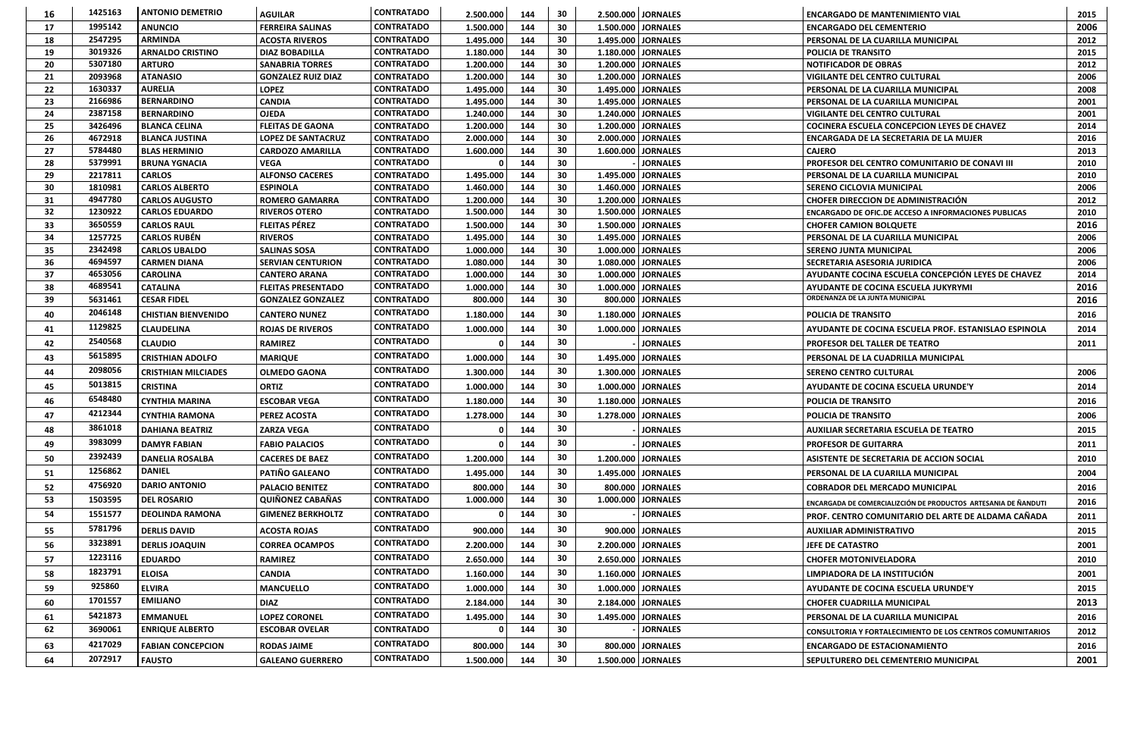| 16       | 1425163            | <b>ANTONIO DEMETRIO</b>                        | <b>AGUILAR</b>                                  | <b>CONTRATADO</b>                      | 2.500.000              | 144        | 30       |                        | 2.500.000   JORNALES                                    | <b>ENCARGADO DE MANTENIMIENTO VIAL</b>                                 | 2015         |
|----------|--------------------|------------------------------------------------|-------------------------------------------------|----------------------------------------|------------------------|------------|----------|------------------------|---------------------------------------------------------|------------------------------------------------------------------------|--------------|
| 17       | 1995142            | <b>ANUNCIO</b>                                 | <b>FERREIRA SALINAS</b>                         | <b>CONTRATADO</b>                      | 1.500.000              | 144        | 30       |                        | 1.500.000 JORNALES                                      | <b>ENCARGADO DEL CEMENTERIO</b>                                        | 2006         |
| 18       | 2547295            | <b>ARMINDA</b>                                 | <b>ACOSTA RIVEROS</b>                           | <b>CONTRATADO</b>                      | 1.495.000              | 144        | 30       | 1.495.000              | <b>JORNALES</b>                                         | PERSONAL DE LA CUARILLA MUNICIPAL                                      | 2012         |
| 19       | 3019326            | <b>ARNALDO CRISTINO</b>                        | <b>DIAZ BOBADILLA</b>                           | <b>CONTRATADO</b>                      | 1.180.000              | 144        | 30       |                        | 1.180.000   JORNALES                                    | <b>POLICIA DE TRANSITO</b>                                             | 2015         |
| 20       | 5307180            | <b>ARTURO</b>                                  | <b>SANABRIA TORRES</b>                          | <b>CONTRATADO</b>                      | 1.200.000              | 144        | 30       | 1.200.000              | <b>JORNALES</b>                                         | <b>NOTIFICADOR DE OBRAS</b>                                            | 2012         |
| 21       | 2093968            | <b>ATANASIO</b>                                | <b>GONZALEZ RUIZ DIAZ</b>                       | <b>CONTRATADO</b>                      | 1.200.000              | 144        | 30       |                        | 1.200.000   JORNALES                                    | <b>VIGILANTE DEL CENTRO CULTURAL</b>                                   | 2006         |
| 22       | 1630337            | <b>AURELIA</b>                                 | <b>LOPEZ</b>                                    | <b>CONTRATADO</b>                      | 1.495.000              | 144        | 30       |                        | 1.495.000 JORNALES                                      | <b>PERSONAL DE LA CUARILLA MUNICIPAL</b>                               |              |
| 23       | 2166986            | <b>BERNARDINO</b>                              | <b>CANDIA</b>                                   | <b>CONTRATADO</b>                      | 1.495.000              | 144        | 30       |                        | 1.495.000 JORNALES                                      | PERSONAL DE LA CUARILLA MUNICIPAL                                      | 2001         |
| 24       | 2387158            | <b>BERNARDINO</b>                              | <b>OJEDA</b>                                    | <b>CONTRATADO</b>                      | 1.240.000              | 144        | 30       | 1.240.000              | <b>JORNALES</b>                                         | <b>VIGILANTE DEL CENTRO CULTURAL</b>                                   | 2001         |
| 25       | 3426496            | <b>BLANCA CELINA</b>                           | <b>FLEITAS DE GAONA</b>                         | <b>CONTRATADO</b>                      | 1.200.000              | 144        | 30       | 1.200.000              | <b>JORNALES</b>                                         | COCINERA ESCUELA CONCEPCION LEYES DE CHAVEZ                            | 2014         |
| 26       | 4672918            | <b>BLANCA JUSTINA</b>                          | <b>LOPEZ DE SANTACRUZ</b>                       | <b>CONTRATADO</b>                      | 2.000.000              | 144        | 30       |                        | 2.000.000   JORNALES                                    | <b>ENCARGADA DE LA SECRETARIA DE LA MUJER</b>                          | 2016         |
| 27       | 5784480            | <b>BLAS HERMINIO</b>                           | <b>CARDOZO AMARILLA</b>                         | <b>CONTRATADO</b>                      | 1.600.000              | 144        | 30       | 1.600.000              | <b>JORNALES</b>                                         | <b>CAJERO</b>                                                          | 2013         |
| 28       | 5379991            | <b>BRUNA YGNACIA</b>                           | <b>VEGA</b>                                     | <b>CONTRATADO</b>                      |                        | 144        | 30       |                        | <b>JORNALES</b>                                         | <b>PROFESOR DEL CENTRO COMUNITARIO DE CONAVI III</b>                   | 2010         |
| 29       | 2217811            | <b>CARLOS</b>                                  | <b>ALFONSO CACERES</b>                          | <b>CONTRATADO</b>                      | 1.495.000              | 144        | 30       | 1.495.000              | <b>JORNALES</b>                                         | <b>PERSONAL DE LA CUARILLA MUNICIPAL</b>                               | 2010         |
| 30       | 1810981            | <b>CARLOS ALBERTO</b>                          | <b>ESPINOLA</b>                                 | <b>CONTRATADO</b>                      | 1.460.000              | 144        | 30       | 1.460.000              | <b>JORNALES</b>                                         | <b>SERENO CICLOVIA MUNICIPAL</b>                                       | 2006         |
| 31       | 4947780<br>1230922 | <b>CARLOS AUGUSTO</b><br><b>CARLOS EDUARDO</b> | <b>ROMERO GAMARRA</b>                           | <b>CONTRATADO</b><br><b>CONTRATADO</b> | 1.200.000<br>1.500.000 | 144<br>144 | 30       | 1.200.000<br>1.500.000 | <b>JORNALES</b><br><b>JORNALES</b>                      | <b>CHOFER DIRECCION DE ADMINISTRACIÓN</b>                              | 2012         |
| 32       | 3650559            |                                                | <b>RIVEROS OTERO</b>                            | <b>CONTRATADO</b>                      |                        |            | 30<br>30 |                        |                                                         | <b>ENCARGADO DE OFIC.DE ACCESO A INFORMACIONES PUBLICAS</b>            | 2010         |
| 33       | 1257725            | <b>CARLOS RAUL</b><br><b>CARLOS RUBÉN</b>      | <b>FLEITAS PÉREZ</b>                            | <b>CONTRATADO</b>                      | 1.500.000              | 144        |          |                        | 1.500.000 JORNALES                                      | <b>CHOFER CAMION BOLQUETE</b>                                          | 2016         |
| 34       | 2342498            |                                                | <b>RIVEROS</b>                                  | <b>CONTRATADO</b>                      | 1.495.000              | 144<br>144 | 30<br>30 | 1.495.000              | <b>JORNALES</b>                                         | PERSONAL DE LA CUARILLA MUNICIPAL                                      | 2006<br>2006 |
| 35<br>36 | 4694597            | <b>CARLOS UBALDO</b><br><b>CARMEN DIANA</b>    | <b>SALINAS SOSA</b><br><b>SERVIAN CENTURION</b> | <b>CONTRATADO</b>                      | 1.000.000<br>1.080.000 | 144        | 30       | 1.080.000              | 1.000.000   JORNALES<br><b>JORNALES</b>                 | <b>SERENO JUNTA MUNICIPAL</b><br><b>SECRETARIA ASESORIA JURIDICA</b>   | 2006         |
| 37       | 4653056            | <b>CAROLINA</b>                                | <b>CANTERO ARANA</b>                            | <b>CONTRATADO</b>                      | 1.000.000              | 144        | 30       | 1.000.000              | <b>JORNALES</b>                                         | AYUDANTE COCINA ESCUELA CONCEPCIÓN LEYES DE CHAVEZ                     | 2014         |
| 38       | 4689541            | <b>CATALINA</b>                                | <b>FLEITAS PRESENTADO</b>                       | <b>CONTRATADO</b>                      | 1.000.000              | 144        | 30       | 1.000.000              | <b>JORNALES</b>                                         |                                                                        |              |
| 39       | 5631461            | <b>CESAR FIDEL</b>                             | <b>GONZALEZ GONZALEZ</b>                        | <b>CONTRATADO</b>                      | 800.000                | 144        | 30       | 800.000                | <b>JORNALES</b>                                         | AYUDANTE DE COCINA ESCUELA JUKYRYMI<br>ORDENANZA DE LA JUNTA MUNICIPAL |              |
|          | 2046148            |                                                |                                                 | <b>CONTRATADO</b>                      |                        |            | 30       |                        |                                                         |                                                                        |              |
| 40       | 1129825            | <b>CHISTIAN BIENVENIDO</b>                     | <b>CANTERO NUNEZ</b>                            |                                        | 1.180.000              | 144        |          |                        | 1.180.000 JORNALES                                      | <b>POLICIA DE TRANSITO</b>                                             |              |
| 41       |                    | <b>CLAUDELINA</b>                              | <b>ROJAS DE RIVEROS</b>                         | <b>CONTRATADO</b>                      | 1.000.000              | 144        | 30       |                        | 1.000.000   JORNALES                                    | <b>AYUDANTE DE COCINA ESCUELA PROF. ESTANISLAO ESPINOLA</b>            | 2014         |
| 42       | 2540568            | <b>CLAUDIO</b>                                 | <b>RAMIREZ</b>                                  | <b>CONTRATADO</b>                      |                        | 144        | 30       |                        | <b>JORNALES</b>                                         | <b>PROFESOR DEL TALLER DE TEATRO</b>                                   | 2011         |
| 43       | 5615895            | <b>CRISTHIAN ADOLFO</b>                        | <b>MARIQUE</b>                                  | <b>CONTRATADO</b>                      | 1.000.000              | 144        | 30       |                        | 1.495.000   JORNALES                                    | <b>PERSONAL DE LA CUADRILLA MUNICIPAL</b>                              |              |
| 44       | 2098056            | <b>CRISTHIAN MILCIADES</b>                     | <b>OLMEDO GAONA</b>                             | <b>CONTRATADO</b>                      | 1.300.000              | 144        | 30       |                        | 1.300.000   JORNALES                                    | <b>SERENO CENTRO CULTURAL</b>                                          | 2006         |
| 45       | 5013815            | <b>CRISTINA</b>                                | <b>ORTIZ</b>                                    | <b>CONTRATADO</b>                      | 1.000.000              | 144        | 30       |                        | 1.000.000   JORNALES                                    | <b>AYUDANTE DE COCINA ESCUELA URUNDE'Y</b>                             | 2014         |
| 46       | 6548480            | <b>CYNTHIA MARINA</b>                          | <b>ESCOBAR VEGA</b>                             | <b>CONTRATADO</b>                      | 1.180.000              | 144        | 30       |                        | 1.180.000   JORNALES                                    | <b>POLICIA DE TRANSITO</b>                                             | 2016         |
| 47       | 4212344            | <b>CYNTHIA RAMONA</b>                          | <b>PEREZ ACOSTA</b>                             | <b>CONTRATADO</b>                      | 1.278.000              | 144        | 30       |                        | 1.278.000 JORNALES                                      | <b>POLICIA DE TRANSITO</b>                                             | 2006         |
| 48       | 3861018            | <b>DAHIANA BEATRIZ</b>                         | <b>ZARZA VEGA</b>                               | <b>CONTRATADO</b>                      | $\Omega$               | 144        | 30       |                        | <b>JORNALES</b>                                         | <b>AUXILIAR SECRETARIA ESCUELA DE TEATRO</b>                           | 2015         |
| 49       | 3983099            | <b>DAMYR FABIAN</b>                            | <b>FABIO PALACIOS</b>                           | <b>CONTRATADO</b>                      |                        | 144        | 30       |                        | <b>JORNALES</b>                                         | <b>PROFESOR DE GUITARRA</b>                                            | 2011         |
| 50       | 2392439            | <b>DANELIA ROSALBA</b>                         | <b>CACERES DE BAEZ</b>                          | <b>CONTRATADO</b>                      | 1.200.000              | 144        | 30       |                        | 1.200.000 JORNALES                                      | ASISTENTE DE SECRETARIA DE ACCION SOCIAL                               | 2010         |
| 51       | 1256862            | <b>DANIEL</b>                                  | PATIÑO GALEANO                                  | <b>CONTRATADO</b>                      | 1.495.000              | 144        | 30       |                        | 1.495.000 JORNALES                                      | <b>PERSONAL DE LA CUARILLA MUNICIPAL</b>                               | 2004         |
| 52       | 4756920            | <b>DARIO ANTONIO</b>                           | <b>PALACIO BENITEZ</b>                          | <b>CONTRATADO</b>                      | 800.000                | 144        | 30       |                        | 800.000 JORNALES                                        | <b>COBRADOR DEL MERCADO MUNICIPAL</b>                                  | 2016         |
| 53       | 1503595            | <b>DEL ROSARIO</b>                             | <b>QUIÑONEZ CABAÑAS</b>                         | <b>CONTRATADO</b>                      | 1.000.000              | 144        | 30       | 1.000.000              | <b>JORNALES</b>                                         | ENCARGADA DE COMERCIALIZCIÓN DE PRODUCTOS ARTESANIA DE ÑANDUTI         | 2016         |
| 54       | 1551577            | <b>DEOLINDA RAMONA</b>                         | <b>GIMENEZ BERKHOLTZ</b>                        | <b>CONTRATADO</b>                      |                        | 144        | 30       |                        | <b>JORNALES</b>                                         | <b>PROF. CENTRO COMUNITARIO DEL ARTE DE ALDAMA CAÑADA</b>              | 2011         |
| 55       | 5781796            | <b>DERLIS DAVID</b>                            | <b>ACOSTA ROJAS</b>                             | <b>CONTRATADO</b>                      | 900.000                | 144        | 30       |                        | 900.000   JORNALES                                      | <b>AUXILIAR ADMINISTRATIVO</b>                                         | 2015         |
| 56       | 3323891            | <b>DERLIS JOAQUIN</b>                          | <b>CORREA OCAMPOS</b>                           | <b>CONTRATADO</b>                      | 2.200.000              | 144        | 30       |                        | 2.200.000 JORNALES                                      | JEFE DE CATASTRO                                                       | 2001         |
| 57       | 1223116            | <b>EDUARDO</b>                                 | <b>RAMIREZ</b>                                  | <b>CONTRATADO</b>                      | 2.650.000              | 144        | 30       |                        | 2.650.000   JORNALES                                    | <b>CHOFER MOTONIVELADORA</b>                                           | 2010         |
| 58       | 1823791            | <b>ELOISA</b>                                  | <b>CANDIA</b>                                   | <b>CONTRATADO</b>                      | 1.160.000              | 144        | 30       |                        | 1.160.000 JORNALES                                      | <b>LIMPIADORA DE LA INSTITUCIÓN</b>                                    | 2001         |
| 59       | 925860             | <b>ELVIRA</b>                                  | <b>MANCUELLO</b>                                | <b>CONTRATADO</b>                      | 1.000.000              | 144        | 30       |                        | 1.000.000 JORNALES                                      | <b>AYUDANTE DE COCINA ESCUELA URUNDE'Y</b>                             | 2015         |
| 60       | 1701557            | <b>EMILIANO</b>                                | <b>DIAZ</b>                                     | <b>CONTRATADO</b>                      | 2.184.000              | 144        | 30       |                        | 2.184.000 JORNALES<br><b>CHOFER CUADRILLA MUNICIPAL</b> |                                                                        | 2013         |
| 61       | 5421873            | <b>EMMANUEL</b>                                | <b>LOPEZ CORONEL</b>                            | <b>CONTRATADO</b>                      | 1.495.000              | 144        | 30       |                        | 1.495.000 JORNALES<br>PERSONAL DE LA CUARILLA MUNICIPAL |                                                                        | 2016         |
| 62       | 3690061            | <b>ENRIQUE ALBERTO</b>                         | <b>ESCOBAR OVELAR</b>                           | <b>CONTRATADO</b>                      |                        | 144        | 30       |                        | <b>JORNALES</b>                                         |                                                                        | 2012         |
|          | 4217029            |                                                |                                                 | <b>CONTRATADO</b>                      |                        |            | 30       |                        |                                                         | <b>CONSULTORIA Y FORTALECIMIENTO DE LOS CENTROS COMUNITARIOS</b>       |              |
| 63       |                    | <b>FABIAN CONCEPCION</b>                       | <b>RODAS JAIME</b>                              | <b>CONTRATADO</b>                      | 800.000                | 144        |          |                        | 800.000 JORNALES                                        | <b>ENCARGADO DE ESTACIONAMIENTO</b>                                    | 2016         |
| 64       | 2072917            | <b>FAUSTO</b>                                  | <b>GALEANO GUERRERO</b>                         |                                        | 1.500.000              | 144        | 30       |                        | 1.500.000 JORNALES                                      | SEPULTURERO DEL CEMENTERIO MUNICIPAL                                   | 2001         |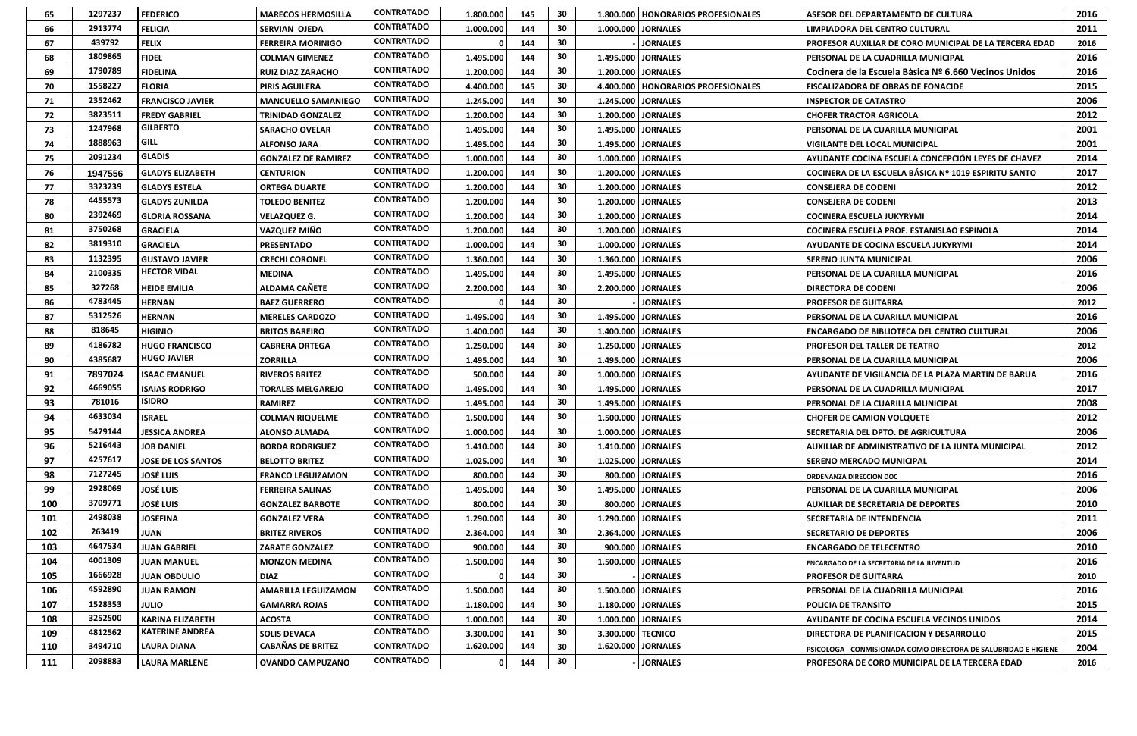| 65  | 1297237 | <b>FEDERICO</b>           | <b>MARECOS HERMOSILLA</b>  | <b>CONTRATADO</b> | 1.800.000 | 145 | 30 |                      | 1.800.000   HONORARIOS PROFESIONALES                            | <b>ASESOR DEL DEPARTAMENTO DE CULTURA</b>                              | 2016 |
|-----|---------|---------------------------|----------------------------|-------------------|-----------|-----|----|----------------------|-----------------------------------------------------------------|------------------------------------------------------------------------|------|
| 66  | 2913774 | <b>FELICIA</b>            | <b>SERVIAN OJEDA</b>       | <b>CONTRATADO</b> | 1.000.000 | 144 | 30 |                      | 1.000.000 JORNALES                                              | LIMPIADORA DEL CENTRO CULTURAL                                         | 2011 |
| 67  | 439792  | <b>FELIX</b>              | <b>FERREIRA MORINIGO</b>   | <b>CONTRATADO</b> |           | 144 | 30 |                      | <b>JORNALES</b>                                                 | PROFESOR AUXILIAR DE CORO MUNICIPAL DE LA TERCERA EDAD                 | 2016 |
| 68  | 1809865 | <b>FIDEL</b>              | <b>COLMAN GIMENEZ</b>      | <b>CONTRATADO</b> | 1.495.000 | 144 | 30 |                      | 1.495.000 JORNALES                                              | PERSONAL DE LA CUADRILLA MUNICIPAL                                     | 2016 |
| 69  | 1790789 | <b>FIDELINA</b>           | <b>RUIZ DIAZ ZARACHO</b>   | <b>CONTRATADO</b> | 1.200.000 | 144 | 30 |                      | 1.200.000   JORNALES                                            | Cocinera de la Escuela Bàsica Nº 6.660 Vecinos Unidos                  | 2016 |
| 70  | 1558227 | <b>FLORIA</b>             | <b>PIRIS AGUILERA</b>      | <b>CONTRATADO</b> | 4.400.000 | 145 | 30 |                      | 4.400.000   HONORARIOS PROFESIONALES                            | <b>FISCALIZADORA DE OBRAS DE FONACIDE</b>                              | 2015 |
| 71  | 2352462 | <b>FRANCISCO JAVIER</b>   | <b>MANCUELLO SAMANIEGO</b> | <b>CONTRATADO</b> | 1.245.000 | 144 | 30 |                      | 1.245.000 JORNALES                                              | <b>INSPECTOR DE CATASTRO</b>                                           | 2006 |
| 72  | 3823511 | <b>FREDY GABRIEL</b>      | <b>TRINIDAD GONZALEZ</b>   | <b>CONTRATADO</b> | 1.200.000 | 144 | 30 |                      | 1.200.000 JORNALES                                              | <b>CHOFER TRACTOR AGRICOLA</b>                                         | 2012 |
| 73  | 1247968 | <b>GILBERTO</b>           | SARACHO OVELAR             | <b>CONTRATADO</b> | 1.495.000 | 144 | 30 |                      | 1.495.000   JORNALES                                            | PERSONAL DE LA CUARILLA MUNICIPAL                                      | 2001 |
| 74  | 1888963 | <b>GILL</b>               | <b>ALFONSO JARA</b>        | <b>CONTRATADO</b> | 1.495.000 | 144 | 30 |                      | 1.495.000   JORNALES                                            | <b>VIGILANTE DEL LOCAL MUNICIPAL</b>                                   | 2001 |
| 75  | 2091234 | <b>GLADIS</b>             | <b>GONZALEZ DE RAMIREZ</b> | <b>CONTRATADO</b> | 1.000.000 | 144 | 30 |                      | 1.000.000   JORNALES                                            | AYUDANTE COCINA ESCUELA CONCEPCIÓN LEYES DE CHAVEZ                     | 2014 |
| 76  | 1947556 | <b>GLADYS ELIZABETH</b>   | <b>CENTURION</b>           | <b>CONTRATADO</b> | 1.200.000 | 144 | 30 |                      | 1.200.000   JORNALES                                            | COCINERA DE LA ESCUELA BÁSICA Nº 1019 ESPIRITU SANTO                   | 2017 |
| 77  | 3323239 | <b>GLADYS ESTELA</b>      | <b>ORTEGA DUARTE</b>       | <b>CONTRATADO</b> | 1.200.000 | 144 | 30 |                      | 1.200.000 JORNALES                                              | <b>CONSEJERA DE CODENI</b>                                             | 2012 |
| 78  | 4455573 | <b>GLADYS ZUNILDA</b>     | <b>TOLEDO BENITEZ</b>      | <b>CONTRATADO</b> | 1.200.000 | 144 | 30 |                      | 1.200.000 JORNALES                                              | <b>CONSEJERA DE CODENI</b>                                             | 2013 |
| 80  | 2392469 | <b>GLORIA ROSSANA</b>     | <b>VELAZQUEZ G.</b>        | <b>CONTRATADO</b> | 1.200.000 | 144 | 30 |                      | 1.200.000 JORNALES                                              | <b>COCINERA ESCUELA JUKYRYMI</b>                                       | 2014 |
| 81  | 3750268 | <b>GRACIELA</b>           | <b>VAZQUEZ MIÑO</b>        | <b>CONTRATADO</b> | 1.200.000 | 144 | 30 |                      | 1.200.000 JORNALES                                              | COCINERA ESCUELA PROF. ESTANISLAO ESPINOLA                             | 2014 |
| 82  | 3819310 | <b>GRACIELA</b>           | <b>PRESENTADO</b>          | <b>CONTRATADO</b> | 1.000.000 | 144 | 30 |                      | 1.000.000   JORNALES                                            | AYUDANTE DE COCINA ESCUELA JUKYRYMI                                    | 2014 |
| 83  | 1132395 | <b>GUSTAVO JAVIER</b>     | <b>CRECHI CORONEL</b>      | <b>CONTRATADO</b> | 1.360.000 | 144 | 30 |                      | 1.360.000 JORNALES                                              | <b>SERENO JUNTA MUNICIPAL</b>                                          | 2006 |
| 84  | 2100335 | <b>HECTOR VIDAL</b>       | <b>MEDINA</b>              | <b>CONTRATADO</b> | 1.495.000 | 144 | 30 |                      | 1.495.000 JORNALES                                              | <b>PERSONAL DE LA CUARILLA MUNICIPAL</b>                               | 2016 |
| 85  | 327268  | <b>HEIDE EMILIA</b>       | <b>ALDAMA CAÑETE</b>       | <b>CONTRATADO</b> | 2.200.000 | 144 | 30 |                      | 2.200.000 JORNALES                                              | 2006<br><b>DIRECTORA DE CODENI</b>                                     |      |
| 86  | 4783445 | <b>HERNAN</b>             | <b>BAEZ GUERRERO</b>       | <b>CONTRATADO</b> |           | 144 | 30 |                      | <b>JORNALES</b>                                                 | 2012<br><b>PROFESOR DE GUITARRA</b>                                    |      |
| 87  | 5312526 | <b>HERNAN</b>             | <b>MERELES CARDOZO</b>     | <b>CONTRATADO</b> | 1.495.000 | 144 | 30 |                      | 1.495.000   JORNALES                                            | 2016<br>PERSONAL DE LA CUARILLA MUNICIPAL                              |      |
| 88  | 818645  | <b>HIGINIO</b>            | <b>BRITOS BAREIRO</b>      | <b>CONTRATADO</b> | 1.400.000 | 144 | 30 |                      | 1.400.000   JORNALES                                            | <b>ENCARGADO DE BIBLIOTECA DEL CENTRO CULTURAL</b>                     |      |
| 89  | 4186782 | <b>HUGO FRANCISCO</b>     | <b>CABRERA ORTEGA</b>      | <b>CONTRATADO</b> | 1.250.000 | 144 | 30 |                      | 1.250.000   JORNALES                                            | <b>PROFESOR DEL TALLER DE TEATRO</b>                                   |      |
| 90  | 4385687 | <b>HUGO JAVIER</b>        | <b>ZORRILLA</b>            | <b>CONTRATADO</b> | 1.495.000 | 144 | 30 |                      | 1.495.000 JORNALES                                              | PERSONAL DE LA CUARILLA MUNICIPAL                                      |      |
| 91  | 7897024 | <b>ISAAC EMANUEL</b>      | <b>RIVEROS BRITEZ</b>      | <b>CONTRATADO</b> | 500.000   | 144 | 30 |                      | 1.000.000 JORNALES                                              | AYUDANTE DE VIGILANCIA DE LA PLAZA MARTIN DE BARUA                     |      |
| 92  | 4669055 | <b>ISAIAS RODRIGO</b>     | <b>TORALES MELGAREJO</b>   | <b>CONTRATADO</b> | 1.495.000 | 144 | 30 |                      | 1.495.000   JORNALES                                            | PERSONAL DE LA CUADRILLA MUNICIPAL                                     | 2017 |
| 93  | 781016  | <b>ISIDRO</b>             | <b>RAMIREZ</b>             | <b>CONTRATADO</b> | 1.495.000 | 144 | 30 |                      | 1.495.000 JORNALES                                              | PERSONAL DE LA CUARILLA MUNICIPAL                                      | 2008 |
| 94  | 4633034 | <b>ISRAEL</b>             | <b>COLMAN RIQUELME</b>     | <b>CONTRATADO</b> | 1.500.000 | 144 | 30 |                      | 1.500.000 JORNALES                                              | <b>CHOFER DE CAMION VOLQUETE</b>                                       | 2012 |
| 95  | 5479144 | <b>JESSICA ANDREA</b>     | <b>ALONSO ALMADA</b>       | <b>CONTRATADO</b> | 1.000.000 | 144 | 30 |                      | 1.000.000 JORNALES                                              | <b>SECRETARIA DEL DPTO. DE AGRICULTURA</b>                             | 2006 |
| 96  | 5216443 | <b>JOB DANIEL</b>         | <b>BORDA RODRIGUEZ</b>     | <b>CONTRATADO</b> | 1.410.000 | 144 | 30 |                      | 1.410.000 JORNALES                                              | AUXILIAR DE ADMINISTRATIVO DE LA JUNTA MUNICIPAL                       | 2012 |
| 97  | 4257617 | <b>JOSE DE LOS SANTOS</b> | <b>BELOTTO BRITEZ</b>      | <b>CONTRATADO</b> | 1.025.000 | 144 | 30 |                      | 1.025.000 JORNALES                                              | <b>SERENO MERCADO MUNICIPAL</b>                                        | 2014 |
| 98  | 7127245 | <b>JOSÉ LUIS</b>          | <b>FRANCO LEGUIZAMON</b>   | <b>CONTRATADO</b> | 800.000   | 144 | 30 |                      | 800.000   JORNALES                                              | <b>ORDENANZA DIRECCION DOC</b>                                         | 2016 |
| 99  | 2928069 | <b>JOSÉ LUIS</b>          | <b>FERREIRA SALINAS</b>    | <b>CONTRATADO</b> | 1.495.000 | 144 | 30 |                      | 1.495.000   JORNALES                                            | PERSONAL DE LA CUARILLA MUNICIPAL                                      | 2006 |
| 100 | 3709771 | <b>JOSÉ LUIS</b>          | <b>GONZALEZ BARBOTE</b>    | <b>CONTRATADO</b> | 800.000   | 144 | 30 |                      | 800.000 JORNALES                                                | <b>AUXILIAR DE SECRETARIA DE DEPORTES</b>                              | 2010 |
| 101 | 2498038 | <b>JOSEFINA</b>           | <b>GONZALEZ VERA</b>       | <b>CONTRATADO</b> | 1.290.000 | 144 | 30 |                      | 1.290.000 JORNALES                                              | <b>SECRETARIA DE INTENDENCIA</b>                                       | 2011 |
| 102 | 263419  | <b>JUAN</b>               | <b>BRITEZ RIVEROS</b>      | <b>CONTRATADO</b> | 2.364.000 | 144 | 30 |                      | 2.364.000 JORNALES                                              | <b>SECRETARIO DE DEPORTES</b>                                          |      |
| 103 | 4647534 | <b>JUAN GABRIEL</b>       | <b>ZARATE GONZALEZ</b>     | <b>CONTRATADO</b> | 900.000   | 144 | 30 |                      | 900.000 JORNALES                                                | <b>ENCARGADO DE TELECENTRO</b>                                         |      |
| 104 | 4001309 | <b>JUAN MANUEL</b>        | <b>MONZON MEDINA</b>       | <b>CONTRATADO</b> | 1.500.000 | 144 | 30 |                      | 1.500.000   JORNALES                                            | ENCARGADO DE LA SECRETARIA DE LA JUVENTUD                              |      |
| 105 | 1666928 | <b>JUAN OBDULIO</b>       | <b>DIAZ</b>                | <b>CONTRATADO</b> |           | 144 | 30 |                      | <b>JORNALES</b>                                                 | <b>PROFESOR DE GUITARRA</b>                                            |      |
| 106 | 4592890 | <b>JUAN RAMON</b>         | <b>AMARILLA LEGUIZAMON</b> | <b>CONTRATADO</b> | 1.500.000 | 144 | 30 | 1.500.000   JORNALES | <b>PERSONAL DE LA CUADRILLA MUNICIPAL</b>                       |                                                                        | 2016 |
| 107 | 1528353 | <b>JULIO</b>              | <b>GAMARRA ROJAS</b>       | <b>CONTRATADO</b> | 1.180.000 | 144 | 30 |                      | 1.180.000   JORNALES<br><b>POLICIA DE TRANSITO</b>              |                                                                        | 2015 |
| 108 | 3252500 | <b>KARINA ELIZABETH</b>   | <b>ACOSTA</b>              | <b>CONTRATADO</b> | 1.000.000 | 144 | 30 |                      | 1.000.000 JORNALES<br>AYUDANTE DE COCINA ESCUELA VECINOS UNIDOS |                                                                        | 2014 |
| 109 | 4812562 | <b>KATERINE ANDREA</b>    | <b>SOLIS DEVACA</b>        | <b>CONTRATADO</b> | 3.300.000 | 141 | 30 |                      | 3.300.000   TECNICO                                             | <b>DIRECTORA DE PLANIFICACION Y DESARROLLO</b>                         |      |
| 110 | 3494710 | <b>LAURA DIANA</b>        | <b>CABAÑAS DE BRITEZ</b>   | <b>CONTRATADO</b> | 1.620.000 | 144 | 30 |                      | 1.620.000 JORNALES                                              | <b>PSICOLOGA - CONMISIONADA COMO DIRECTORA DE SALUBRIDAD E HIGIENE</b> |      |
| 111 | 2098883 | <b>LAURA MARLENE</b>      | <b>OVANDO CAMPUZANO</b>    | <b>CONTRATADO</b> | 0         | 144 | 30 |                      | <b>JORNALES</b>                                                 | <b>PROFESORA DE CORO MUNICIPAL DE LA TERCERA EDAD</b>                  | 2016 |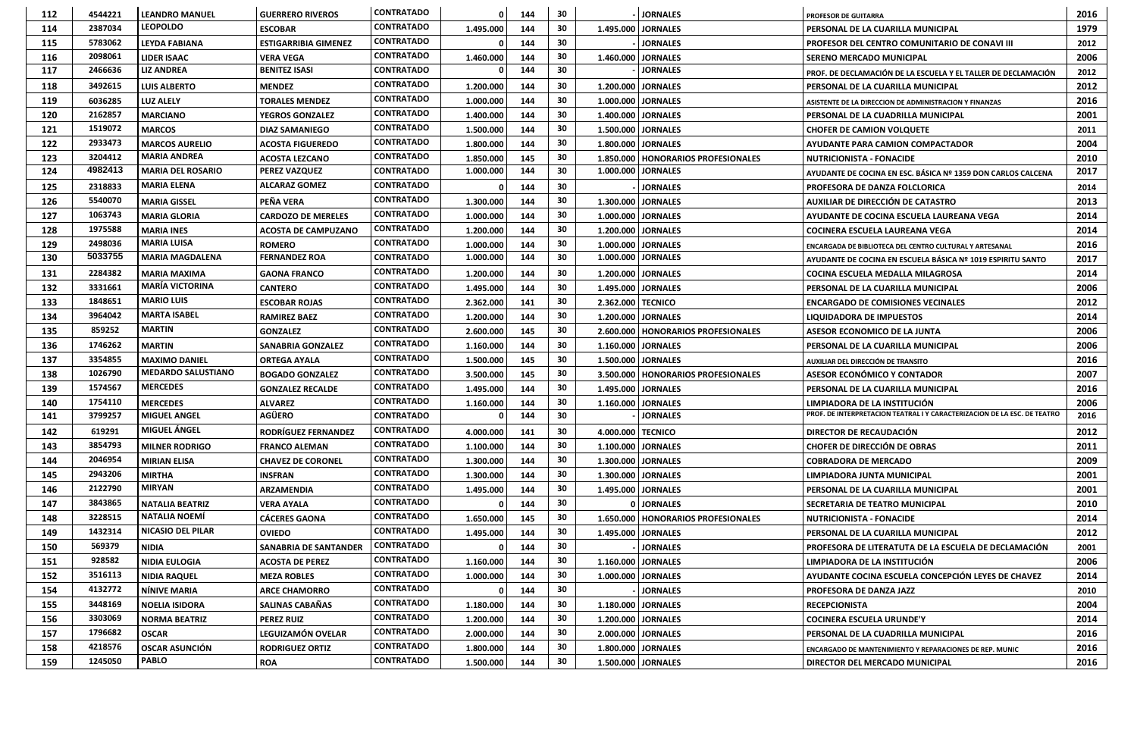| 112 | 4544221 | <b>LEANDRO MANUEL</b>                 | <b>GUERRERO RIVEROS</b>      | <b>CONTRATADO</b> |           | 144 | 30 |                     | <b>JORNALES</b>                      | <b>PROFESOR DE GUITARRA</b>                                                   | 2016         |
|-----|---------|---------------------------------------|------------------------------|-------------------|-----------|-----|----|---------------------|--------------------------------------|-------------------------------------------------------------------------------|--------------|
| 114 | 2387034 | <b>LEOPOLDO</b>                       | <b>ESCOBAR</b>               | <b>CONTRATADO</b> | 1.495.000 | 144 | 30 |                     | 1.495.000   JORNALES                 | <b>PERSONAL DE LA CUARILLA MUNICIPAL</b>                                      | 1979         |
| 115 | 5783062 | <b>LEYDA FABIANA</b>                  | <b>ESTIGARRIBIA GIMENEZ</b>  | <b>CONTRATADO</b> |           | 144 | 30 |                     | <b>JORNALES</b>                      | <b>PROFESOR DEL CENTRO COMUNITARIO DE CONAVI III</b>                          | 2012         |
| 116 | 2098061 | <b>LIDER ISAAC</b>                    | <b>VERA VEGA</b>             | <b>CONTRATADO</b> | 1.460.000 | 144 | 30 | 1.460.000           | <b>JORNALES</b>                      | <b>SERENO MERCADO MUNICIPAL</b>                                               | 2006         |
| 117 | 2466636 | <b>LIZ ANDREA</b>                     | <b>BENITEZ ISASI</b>         | <b>CONTRATADO</b> |           | 144 | 30 |                     | <b>JORNALES</b>                      | PROF. DE DECLAMACIÓN DE LA ESCUELA Y EL TALLER DE DECLAMACIÓN                 | 2012         |
| 118 | 3492615 | <b>LUIS ALBERTO</b>                   | <b>MENDEZ</b>                | <b>CONTRATADO</b> | 1.200.000 | 144 | 30 |                     | 1.200.000 JORNALES                   | PERSONAL DE LA CUARILLA MUNICIPAL                                             | 2012         |
| 119 | 6036285 | <b>LUZ ALELY</b>                      | <b>TORALES MENDEZ</b>        | <b>CONTRATADO</b> | 1.000.000 | 144 | 30 |                     | 1.000.000   JORNALES                 | ASISTENTE DE LA DIRECCION DE ADMINISTRACION Y FINANZAS                        | 2016         |
| 120 | 2162857 | <b>MARCIANO</b>                       | <b>YEGROS GONZALEZ</b>       | <b>CONTRATADO</b> | 1.400.000 | 144 | 30 |                     | 1.400.000 JORNALES                   | PERSONAL DE LA CUADRILLA MUNICIPAL                                            |              |
| 121 | 1519072 | <b>MARCOS</b>                         | <b>DIAZ SAMANIEGO</b>        | <b>CONTRATADO</b> | 1.500.000 | 144 | 30 |                     | 1.500.000 JORNALES                   | <b>CHOFER DE CAMION VOLQUETE</b>                                              | 2011         |
| 122 | 2933473 | <b>MARCOS AURELIO</b>                 | <b>ACOSTA FIGUEREDO</b>      | <b>CONTRATADO</b> | 1.800.000 | 144 | 30 |                     | 1.800.000   JORNALES                 | AYUDANTE PARA CAMION COMPACTADOR                                              | 2004         |
| 123 | 3204412 | <b>MARIA ANDREA</b>                   | <b>ACOSTA LEZCANO</b>        | <b>CONTRATADO</b> | 1.850.000 | 145 | 30 |                     | 1.850.000   HONORARIOS PROFESIONALES | <b>NUTRICIONISTA - FONACIDE</b>                                               | 2010         |
| 124 | 4982413 | <b>MARIA DEL ROSARIO</b>              | <b>PEREZ VAZQUEZ</b>         | <b>CONTRATADO</b> | 1.000.000 | 144 | 30 | 1.000.000           | <b>JORNALES</b>                      | AYUDANTE DE COCINA EN ESC. BÁSICA Nº 1359 DON CARLOS CALCENA                  | 2017         |
| 125 | 2318833 | <b>MARIA ELENA</b>                    | <b>ALCARAZ GOMEZ</b>         | <b>CONTRATADO</b> |           | 144 | 30 |                     | <b>JORNALES</b>                      | <b>PROFESORA DE DANZA FOLCLORICA</b>                                          | 2014         |
| 126 | 5540070 | <b>MARIA GISSEL</b>                   | PEÑA VERA                    | <b>CONTRATADO</b> | 1.300.000 | 144 | 30 |                     | 1.300.000   JORNALES                 | <b>AUXILIAR DE DIRECCIÓN DE CATASTRO</b>                                      | 2013         |
| 127 | 1063743 | <b>MARIA GLORIA</b>                   | <b>CARDOZO DE MERELES</b>    | <b>CONTRATADO</b> | 1.000.000 | 144 | 30 |                     | 1.000.000   JORNALES                 | AYUDANTE DE COCINA ESCUELA LAUREANA VEGA                                      | 2014         |
| 128 | 1975588 | <b>MARIA INES</b>                     | <b>ACOSTA DE CAMPUZANO</b>   | <b>CONTRATADO</b> | 1.200.000 | 144 | 30 |                     | 1.200.000 JORNALES                   | COCINERA ESCUELA LAUREANA VEGA                                                | 2014         |
| 129 | 2498036 | <b>MARIA LUISA</b>                    | <b>ROMERO</b>                | <b>CONTRATADO</b> | 1.000.000 | 144 | 30 |                     | 1.000.000 JORNALES                   | ENCARGADA DE BIBLIOTECA DEL CENTRO CULTURAL Y ARTESANAL                       | 2016         |
| 130 | 5033755 | <b>MARIA MAGDALENA</b>                | <b>FERNANDEZ ROA</b>         | <b>CONTRATADO</b> | 1.000.000 | 144 | 30 |                     | 1.000.000 JORNALES                   | AYUDANTE DE COCINA EN ESCUELA BÁSICA Nº 1019 ESPIRITU SANTO                   | 2017         |
| 131 | 2284382 | <b>MARIA MAXIMA</b>                   | <b>GAONA FRANCO</b>          | <b>CONTRATADO</b> | 1.200.000 | 144 | 30 |                     | 1.200.000 JORNALES                   | <b>COCINA ESCUELA MEDALLA MILAGROSA</b>                                       | 2014         |
| 132 | 3331661 | <b>MARÍA VICTORINA</b>                | <b>CANTERO</b>               | <b>CONTRATADO</b> | 1.495.000 | 144 | 30 |                     | 1.495.000 JORNALES                   |                                                                               | 2006         |
| 133 | 1848651 | <b>MARIO LUIS</b>                     | <b>ESCOBAR ROJAS</b>         | <b>CONTRATADO</b> | 2.362.000 | 141 | 30 | 2.362.000 TECNICO   |                                      | PERSONAL DE LA CUARILLA MUNICIPAL<br><b>ENCARGADO DE COMISIONES VECINALES</b> |              |
| 134 | 3964042 | <b>MARTA ISABEL</b>                   | <b>RAMIREZ BAEZ</b>          | <b>CONTRATADO</b> | 1.200.000 | 144 | 30 |                     | 1.200.000 JORNALES                   | 2012<br>2014<br><b>LIQUIDADORA DE IMPUESTOS</b>                               |              |
| 135 | 859252  | <b>MARTIN</b>                         | <b>GONZALEZ</b>              | <b>CONTRATADO</b> | 2.600.000 | 145 | 30 |                     | 2.600.000   HONORARIOS PROFESIONALES | ASESOR ECONOMICO DE LA JUNTA                                                  |              |
| 136 | 1746262 | <b>MARTIN</b>                         | <b>SANABRIA GONZALEZ</b>     | <b>CONTRATADO</b> | 1.160.000 | 144 | 30 |                     | 1.160.000   JORNALES                 |                                                                               |              |
| 137 | 3354855 | <b>MAXIMO DANIEL</b>                  | <b>ORTEGA AYALA</b>          | <b>CONTRATADO</b> | 1.500.000 | 145 | 30 |                     | 1.500.000   JORNALES                 | PERSONAL DE LA CUARILLA MUNICIPAL                                             |              |
| 138 | 1026790 | <b>MEDARDO SALUSTIANO</b>             | <b>BOGADO GONZALEZ</b>       | <b>CONTRATADO</b> | 3.500.000 | 145 | 30 |                     | 3.500.000   HONORARIOS PROFESIONALES | AUXILIAR DEL DIRECCIÓN DE TRANSITO<br><b>ASESOR ECONÓMICO Y CONTADOR</b>      | 2016<br>2007 |
| 139 | 1574567 | <b>MERCEDES</b>                       | <b>GONZALEZ RECALDE</b>      | <b>CONTRATADO</b> | 1.495.000 | 144 | 30 |                     | 1.495.000   JORNALES                 | PERSONAL DE LA CUARILLA MUNICIPAL                                             | 2016         |
| 140 | 1754110 | <b>MERCEDES</b>                       | <b>ALVAREZ</b>               | <b>CONTRATADO</b> | 1.160.000 | 144 | 30 | 1.160.000           | <b>JORNALES</b>                      | LIMPIADORA DE LA INSTITUCIÓN                                                  | 2006         |
| 141 | 3799257 | <b>MIGUEL ANGEL</b>                   | <b>AGÜERO</b>                | <b>CONTRATADO</b> |           | 144 | 30 |                     | <b>JORNALES</b>                      | PROF. DE INTERPRETACION TEATRAL I Y CARACTERIZACION DE LA ESC. DE TEATRO      | 2016         |
| 142 | 619291  | MIGUEL ÁNGEL                          | <b>RODRÍGUEZ FERNANDEZ</b>   | <b>CONTRATADO</b> | 4.000.000 | 141 | 30 | 4.000.000   TECNICO |                                      | <b>DIRECTOR DE RECAUDACIÓN</b>                                                | 2012         |
| 143 | 3854793 | <b>MILNER RODRIGO</b>                 | <b>FRANCO ALEMAN</b>         | <b>CONTRATADO</b> | 1.100.000 | 144 | 30 |                     | 1.100.000 JORNALES                   | CHOFER DE DIRECCIÓN DE OBRAS                                                  | 2011         |
| 144 | 2046954 | <b>MIRIAN ELISA</b>                   | <b>CHAVEZ DE CORONEL</b>     | <b>CONTRATADO</b> | 1.300.000 | 144 | 30 |                     | 1.300.000 JORNALES                   | <b>COBRADORA DE MERCADO</b>                                                   | 2009         |
| 145 | 2943206 | <b>MIRTHA</b>                         | <b>INSFRAN</b>               | <b>CONTRATADO</b> | 1.300.000 | 144 | 30 |                     | 1.300.000 JORNALES                   | LIMPIADORA JUNTA MUNICIPAL                                                    | 2001         |
| 146 | 2122790 | <b>MIRYAN</b>                         | <b>ARZAMENDIA</b>            | <b>CONTRATADO</b> | 1.495.000 | 144 | 30 |                     | 1.495.000 JORNALES                   | PERSONAL DE LA CUARILLA MUNICIPAL                                             | 2001         |
| 147 | 3843865 | <b>NATALIA BEATRIZ</b>                | <b>VERA AYALA</b>            | <b>CONTRATADO</b> |           | 144 | 30 |                     | 0 JORNALES                           | SECRETARIA DE TEATRO MUNICIPAL                                                | 2010         |
| 148 | 3228515 | <b>NATALIA NOEMÍ</b>                  | <b>CÁCERES GAONA</b>         | <b>CONTRATADO</b> | 1.650.000 | 145 | 30 |                     | 1.650.000   HONORARIOS PROFESIONALES | <b>NUTRICIONISTA - FONACIDE</b>                                               | 2014         |
| 149 | 1432314 | <b>NICASIO DEL PILAR</b>              | <b>OVIEDO</b>                | <b>CONTRATADO</b> | 1.495.000 | 144 | 30 |                     | 1.495.000   JORNALES                 | PERSONAL DE LA CUARILLA MUNICIPAL                                             | 2012         |
| 150 | 569379  | <b>NIDIA</b>                          | <b>SANABRIA DE SANTANDER</b> | <b>CONTRATADO</b> |           | 144 | 30 |                     | <b>JORNALES</b>                      | <b>PROFESORA DE LITERATUTA DE LA ESCUELA DE DECLAMACIÓN</b>                   | 2001         |
| 151 | 928582  | <b>NIDIA EULOGIA</b>                  | <b>ACOSTA DE PEREZ</b>       | <b>CONTRATADO</b> | 1.160.000 | 144 | 30 |                     | 1.160.000   JORNALES                 | LIMPIADORA DE LA INSTITUCIÓN                                                  | 2006         |
| 152 | 3516113 | <b>NIDIA RAQUEL</b>                   | <b>MEZA ROBLES</b>           | <b>CONTRATADO</b> | 1.000.000 | 144 | 30 |                     | 1.000.000 JORNALES                   | AYUDANTE COCINA ESCUELA CONCEPCIÓN LEYES DE CHAVEZ                            | 2014         |
| 154 | 4132772 | NÍNIVE MARIA                          | <b>ARCE CHAMORRO</b>         | <b>CONTRATADO</b> |           | 144 | 30 |                     | <b>JORNALES</b>                      | PROFESORA DE DANZA JAZZ                                                       | 2010         |
| 155 | 3448169 |                                       |                              | <b>CONTRATADO</b> |           |     | 30 |                     |                                      |                                                                               | 2004         |
| 156 | 3303069 | <b>NOELIA ISIDORA</b>                 | <b>SALINAS CABAÑAS</b>       | <b>CONTRATADO</b> | 1.180.000 | 144 | 30 |                     | 1.180.000 JORNALES                   | <b>RECEPCIONISTA</b>                                                          | 2014         |
| 157 | 1796682 | <b>NORMA BEATRIZ</b>                  | <b>PEREZ RUIZ</b>            | <b>CONTRATADO</b> | 1.200.000 | 144 | 30 |                     | 1.200.000 JORNALES                   | <b>COCINERA ESCUELA URUNDE'Y</b>                                              | 2016         |
|     |         | <b>OSCAR</b>                          | LEGUIZAMÓN OVELAR            | <b>CONTRATADO</b> | 2.000.000 | 144 |    |                     | 2.000.000 JORNALES                   | PERSONAL DE LA CUADRILLA MUNICIPAL                                            |              |
| 158 | 4218576 | <b>OSCAR ASUNCIÓN</b><br><b>PABLO</b> | <b>RODRIGUEZ ORTIZ</b>       | <b>CONTRATADO</b> | 1.800.000 | 144 | 30 |                     | 1.800.000 JORNALES                   | <b>ENCARGADO DE MANTENIMIENTO Y REPARACIONES DE REP. MUNIC</b>                | 2016         |
| 159 | 1245050 |                                       | <b>ROA</b>                   |                   | 1.500.000 | 144 | 30 |                     | 1.500.000 JORNALES                   | DIRECTOR DEL MERCADO MUNICIPAL                                                | 2016         |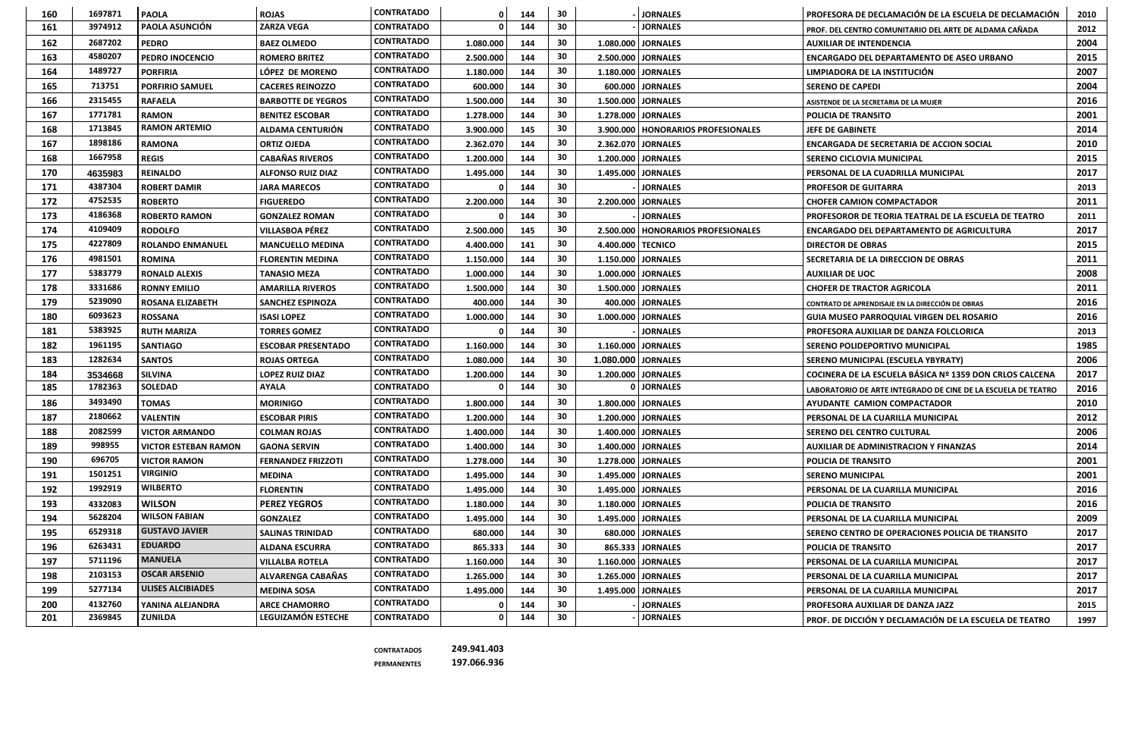| 160 | 1697871 | <b>PAOLA</b>                | <b>ROJAS</b>              | <b>CONTRATADO</b> |           | 144 | 30 |                   | <b>JORNALES</b>                      | PROFESORA DE DECLAMACIÓN DE LA ESCUELA DE DECLAMACIÓN         | 2010 |
|-----|---------|-----------------------------|---------------------------|-------------------|-----------|-----|----|-------------------|--------------------------------------|---------------------------------------------------------------|------|
| 161 | 3974912 | <b>PAOLA ASUNCIÓN</b>       | <b>ZARZA VEGA</b>         | <b>CONTRATADO</b> |           | 144 | 30 |                   | <b>JORNALES</b>                      | PROF. DEL CENTRO COMUNITARIO DEL ARTE DE ALDAMA CAÑADA        | 2012 |
| 162 | 2687202 | <b>PEDRO</b>                | <b>BAEZ OLMEDO</b>        | <b>CONTRATADO</b> | 1.080.000 | 144 | 30 |                   | 1.080.000   JORNALES                 | <b>AUXILIAR DE INTENDENCIA</b>                                | 2004 |
| 163 | 4580207 | <b>PEDRO INOCENCIO</b>      | <b>ROMERO BRITEZ</b>      | <b>CONTRATADO</b> | 2.500.000 | 144 | 30 |                   | 2.500.000   JORNALES                 | ENCARGADO DEL DEPARTAMENTO DE ASEO URBANO                     | 2015 |
| 164 | 1489727 | <b>PORFIRIA</b>             | LÓPEZ DE MORENO           | <b>CONTRATADO</b> | 1.180.000 | 144 | 30 |                   | 1.180.000 JORNALES                   | LIMPIADORA DE LA INSTITUCIÓN                                  | 2007 |
| 165 | 713751  | <b>PORFIRIO SAMUEL</b>      | <b>CACERES REINOZZO</b>   | <b>CONTRATADO</b> | 600.000   | 144 | 30 |                   | 600.000 JORNALES                     | <b>SERENO DE CAPEDI</b>                                       | 2004 |
| 166 | 2315455 | <b>RAFAELA</b>              | <b>BARBOTTE DE YEGROS</b> | <b>CONTRATADO</b> | 1.500.000 | 144 | 30 |                   | 1.500.000   JORNALES                 | ASISTENDE DE LA SECRETARIA DE LA MUJER                        | 2016 |
| 167 | 1771781 | <b>RAMON</b>                | <b>BENITEZ ESCOBAR</b>    | <b>CONTRATADO</b> | 1.278.000 | 144 | 30 |                   | 1.278.000 JORNALES                   | <b>POLICIA DE TRANSITO</b>                                    | 2001 |
| 168 | 1713845 | <b>RAMON ARTEMIO</b>        | <b>ALDAMA CENTURIÓN</b>   | <b>CONTRATADO</b> | 3.900.000 | 145 | 30 |                   | 3.900.000   HONORARIOS PROFESIONALES | <b>JEFE DE GABINETE</b>                                       | 2014 |
| 167 | 1898186 | <b>RAMONA</b>               | <b>ORTIZ OJEDA</b>        | <b>CONTRATADO</b> | 2.362.070 | 144 | 30 |                   | 2.362.070 JORNALES                   | <b>ENCARGADA DE SECRETARIA DE ACCION SOCIAL</b>               | 2010 |
| 168 | 1667958 | <b>REGIS</b>                | <b>CABAÑAS RIVEROS</b>    | <b>CONTRATADO</b> | 1.200.000 | 144 | 30 |                   | 1.200.000 JORNALES                   | <b>SERENO CICLOVIA MUNICIPAL</b>                              | 2015 |
| 170 | 4635983 | <b>REINALDO</b>             | <b>ALFONSO RUIZ DIAZ</b>  | <b>CONTRATADO</b> | 1.495.000 | 144 | 30 |                   | 1.495.000 JORNALES                   | PERSONAL DE LA CUADRILLA MUNICIPAL                            | 2017 |
| 171 | 4387304 | <b>ROBERT DAMIR</b>         | <b>JARA MARECOS</b>       | <b>CONTRATADO</b> |           | 144 | 30 |                   | <b>JORNALES</b>                      | <b>PROFESOR DE GUITARRA</b>                                   | 2013 |
| 172 | 4752535 | <b>ROBERTO</b>              | <b>FIGUEREDO</b>          | <b>CONTRATADO</b> | 2.200.000 | 144 | 30 |                   | 2.200.000 JORNALES                   | <b>CHOFER CAMION COMPACTADOR</b>                              | 2011 |
| 173 | 4186368 | <b>ROBERTO RAMON</b>        | <b>GONZALEZ ROMAN</b>     | <b>CONTRATADO</b> |           | 144 | 30 |                   | <b>JORNALES</b>                      | <b>PROFESOROR DE TEORIA TEATRAL DE LA ESCUELA DE TEATRO</b>   | 2011 |
| 174 | 4109409 | <b>RODOLFO</b>              | <b>VILLASBOA PÉREZ</b>    | <b>CONTRATADO</b> | 2.500.000 | 145 | 30 |                   | 2.500.000   HONORARIOS PROFESIONALES | <b>ENCARGADO DEL DEPARTAMENTO DE AGRICULTURA</b>              | 2017 |
| 175 | 4227809 | <b>ROLANDO ENMANUEL</b>     | <b>MANCUELLO MEDINA</b>   | <b>CONTRATADO</b> | 4.400.000 | 141 | 30 | 4.400.000 TECNICO |                                      | <b>DIRECTOR DE OBRAS</b>                                      | 2015 |
| 176 | 4981501 | <b>ROMINA</b>               | <b>FLORENTIN MEDINA</b>   | <b>CONTRATADO</b> | 1.150.000 | 144 | 30 |                   | 1.150.000   JORNALES                 | SECRETARIA DE LA DIRECCION DE OBRAS                           | 2011 |
| 177 | 5383779 | <b>RONALD ALEXIS</b>        | <b>TANASIO MEZA</b>       | <b>CONTRATADO</b> | 1.000.000 | 144 | 30 |                   | 1.000.000   JORNALES                 | 2008<br><b>AUXILIAR DE UOC</b>                                |      |
| 178 | 3331686 | <b>RONNY EMILIO</b>         | <b>AMARILLA RIVEROS</b>   | <b>CONTRATADO</b> | 1.500.000 | 144 | 30 |                   | 1.500.000   JORNALES                 | 2011<br><b>CHOFER DE TRACTOR AGRICOLA</b>                     |      |
| 179 | 5239090 | <b>ROSANA ELIZABETH</b>     | <b>SANCHEZ ESPINOZA</b>   | <b>CONTRATADO</b> | 400.000   | 144 | 30 |                   | 400.000   JORNALES                   | 2016<br>CONTRATO DE APRENDISAJE EN LA DIRECCIÓN DE OBRAS      |      |
| 180 | 6093623 | <b>ROSSANA</b>              | <b>ISASI LOPEZ</b>        | <b>CONTRATADO</b> | 1.000.000 | 144 | 30 |                   | 1.000.000 JORNALES                   | <b>GUIA MUSEO PARROQUIAL VIRGEN DEL ROSARIO</b>               |      |
| 181 | 5383925 | <b>RUTH MARIZA</b>          | <b>TORRES GOMEZ</b>       | <b>CONTRATADO</b> |           | 144 | 30 |                   | <b>JORNALES</b>                      | PROFESORA AUXILIAR DE DANZA FOLCLORICA                        |      |
| 182 | 1961195 | <b>SANTIAGO</b>             | <b>ESCOBAR PRESENTADO</b> | <b>CONTRATADO</b> | 1.160.000 | 144 | 30 |                   | 1.160.000   JORNALES                 | <b>SERENO POLIDEPORTIVO MUNICIPAL</b>                         |      |
| 183 | 1282634 | <b>SANTOS</b>               | <b>ROJAS ORTEGA</b>       | <b>CONTRATADO</b> | 1.080.000 | 144 | 30 |                   | 1.080.000 JORNALES                   | <b>SERENO MUNICIPAL (ESCUELA YBYRATY)</b>                     | 2006 |
| 184 | 3534668 | <b>SILVINA</b>              | <b>LOPEZ RUIZ DIAZ</b>    | <b>CONTRATADO</b> | 1.200.000 | 144 | 30 |                   | 1.200.000 JORNALES                   | COCINERA DE LA ESCUELA BÁSICA Nº 1359 DON CRLOS CALCENA       | 2017 |
| 185 | 1782363 | <b>SOLEDAD</b>              | <b>AYALA</b>              | <b>CONTRATADO</b> |           | 144 | 30 |                   | <b>JORNALES</b>                      | LABORATORIO DE ARTE INTEGRADO DE CINE DE LA ESCUELA DE TEATRO | 2016 |
| 186 | 3493490 | <b>TOMAS</b>                | <b>MORINIGO</b>           | <b>CONTRATADO</b> | 1.800.000 | 144 | 30 |                   | 1.800.000   JORNALES                 | AYUDANTE CAMION COMPACTADOR                                   | 2010 |
| 187 | 2180662 | <b>VALENTIN</b>             | <b>ESCOBAR PIRIS</b>      | <b>CONTRATADO</b> | 1.200.000 | 144 | 30 |                   | 1.200.000 JORNALES                   | <b>PERSONAL DE LA CUARILLA MUNICIPAL</b>                      | 2012 |
| 188 | 2082599 | <b>VICTOR ARMANDO</b>       | <b>COLMAN ROJAS</b>       | <b>CONTRATADO</b> | 1.400.000 | 144 | 30 |                   | 1.400.000 JORNALES                   | <b>SERENO DEL CENTRO CULTURAL</b>                             | 2006 |
| 189 | 998955  | <b>VICTOR ESTEBAN RAMON</b> | <b>GAONA SERVIN</b>       | <b>CONTRATADO</b> | 1.400.000 | 144 | 30 |                   | 1.400.000 JORNALES                   | <b>AUXILIAR DE ADMINISTRACION Y FINANZAS</b>                  | 2014 |
| 190 | 696705  | <b>VICTOR RAMON</b>         | <b>FERNANDEZ FRIZZOTI</b> | <b>CONTRATADO</b> | 1.278.000 | 144 | 30 |                   | 1.278.000 JORNALES                   | <b>POLICIA DE TRANSITO</b>                                    | 2001 |
| 191 | 1501251 | <b>VIRGINIO</b>             | <b>MEDINA</b>             | <b>CONTRATADO</b> | 1.495.000 | 144 | 30 |                   | 1.495.000 JORNALES                   | <b>SERENO MUNICIPAL</b>                                       | 2001 |
| 192 | 1992919 | <b>WILBERTO</b>             | <b>FLORENTIN</b>          | <b>CONTRATADO</b> | 1.495.000 | 144 | 30 |                   | 1.495.000 JORNALES                   | PERSONAL DE LA CUARILLA MUNICIPAL                             | 2016 |
| 193 | 4332083 | <b>WILSON</b>               | <b>PEREZ YEGROS</b>       | <b>CONTRATADO</b> | 1.180.000 | 144 | 30 |                   | 1.180.000 JORNALES                   | <b>POLICIA DE TRANSITO</b>                                    | 2016 |
| 194 | 5628204 | <b>WILSON FABIAN</b>        | <b>GONZALEZ</b>           | <b>CONTRATADO</b> | 1.495.000 | 144 | 30 |                   | 1.495.000 JORNALES                   | <b>PERSONAL DE LA CUARILLA MUNICIPAL</b>                      | 2009 |
| 195 | 6529318 | <b>GUSTAVO JAVIER</b>       | <b>SALINAS TRINIDAD</b>   | <b>CONTRATADO</b> | 680.000   | 144 | 30 |                   | 680.000 JORNALES                     | <b>SERENO CENTRO DE OPERACIONES POLICIA DE TRANSITO</b>       | 2017 |
| 196 | 6263431 | <b>EDUARDO</b>              | <b>ALDANA ESCURRA</b>     | <b>CONTRATADO</b> | 865.333   | 144 | 30 |                   | 865.333   JORNALES                   | <b>POLICIA DE TRANSITO</b>                                    | 2017 |
| 197 | 5711196 | <b>MANUELA</b>              | <b>VILLALBA ROTELA</b>    | <b>CONTRATADO</b> | 1.160.000 | 144 | 30 |                   | 1.160.000 JORNALES                   | <b>PERSONAL DE LA CUARILLA MUNICIPAL</b>                      | 2017 |
| 198 | 2103153 | <b>OSCAR ARSENIO</b>        | <b>ALVARENGA CABAÑAS</b>  | <b>CONTRATADO</b> | 1.265.000 | 144 | 30 |                   | 1.265.000 JORNALES                   | <b>PERSONAL DE LA CUARILLA MUNICIPAL</b>                      | 2017 |
| 199 | 5277134 | <b>ULISES ALCIBIADES</b>    | <b>MEDINA SOSA</b>        | <b>CONTRATADO</b> | 1.495.000 | 144 | 30 |                   | 1.495.000 JORNALES                   | <b>PERSONAL DE LA CUARILLA MUNICIPAL</b>                      | 2017 |
| 200 | 4132760 | YANINA ALEJANDRA            | <b>ARCE CHAMORRO</b>      | <b>CONTRATADO</b> |           | 144 | 30 |                   | <b>JORNALES</b>                      | <b>PROFESORA AUXILIAR DE DANZA JAZZ</b>                       | 2015 |
| 201 | 2369845 | <b>ZUNILDA</b>              | LEGUIZAMÓN ESTECHE        | <b>CONTRATADO</b> |           | 144 | 30 |                   | <b>JORNALES</b>                      | PROF. DE DICCIÓN Y DECLAMACIÓN DE LA ESCUELA DE TEATRO        | 1997 |

**CONTRATADOS 249.941.403**

**PERMANENTES 197.066.936**